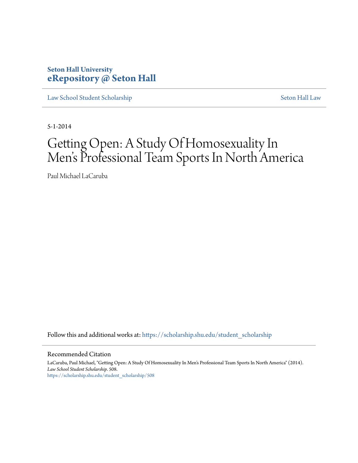# **Seton Hall University [eRepository @ Seton Hall](https://scholarship.shu.edu?utm_source=scholarship.shu.edu%2Fstudent_scholarship%2F508&utm_medium=PDF&utm_campaign=PDFCoverPages)**

[Law School Student Scholarship](https://scholarship.shu.edu/student_scholarship?utm_source=scholarship.shu.edu%2Fstudent_scholarship%2F508&utm_medium=PDF&utm_campaign=PDFCoverPages) [Seton Hall Law](https://scholarship.shu.edu/law?utm_source=scholarship.shu.edu%2Fstudent_scholarship%2F508&utm_medium=PDF&utm_campaign=PDFCoverPages)

5-1-2014

# Getting Open: A Study Of Homosexuality In Men 's Professional Team Sports In North America

Paul Michael LaCaruba

Follow this and additional works at: [https://scholarship.shu.edu/student\\_scholarship](https://scholarship.shu.edu/student_scholarship?utm_source=scholarship.shu.edu%2Fstudent_scholarship%2F508&utm_medium=PDF&utm_campaign=PDFCoverPages)

Recommended Citation

LaCaruba, Paul Michael, "Getting Open: A Study Of Homosexuality In Men's Professional Team Sports In North America" (2014). *Law School Student Scholarship*. 508. [https://scholarship.shu.edu/student\\_scholarship/508](https://scholarship.shu.edu/student_scholarship/508?utm_source=scholarship.shu.edu%2Fstudent_scholarship%2F508&utm_medium=PDF&utm_campaign=PDFCoverPages)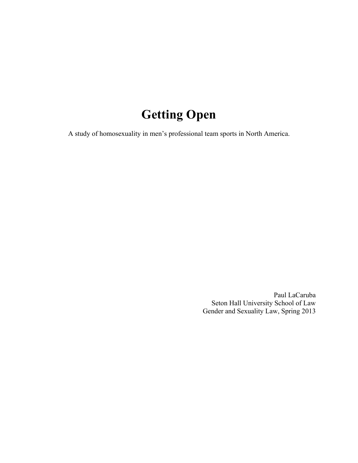# **Getting Open**

A study of homosexuality in men's professional team sports in North America.

Paul LaCaruba Seton Hall University School of Law Gender and Sexuality Law, Spring 2013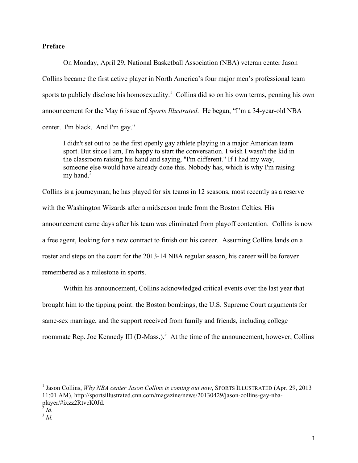# **Preface**

On Monday, April 29, National Basketball Association (NBA) veteran center Jason Collins became the first active player in North America's four major men's professional team sports to publicly disclose his homosexuality.<sup>1</sup> Collins did so on his own terms, penning his own announcement for the May 6 issue of *Sports Illustrated*. He began, "I'm a 34-year-old NBA center. I'm black. And I'm gay.''

I didn't set out to be the first openly gay athlete playing in a major American team sport. But since I am, I'm happy to start the conversation. I wish I wasn't the kid in the classroom raising his hand and saying, "I'm different." If I had my way, someone else would have already done this. Nobody has, which is why I'm raising my hand. $2$ 

Collins is a journeyman; he has played for six teams in 12 seasons, most recently as a reserve with the Washington Wizards after a midseason trade from the Boston Celtics. His announcement came days after his team was eliminated from playoff contention. Collins is now a free agent, looking for a new contract to finish out his career. Assuming Collins lands on a roster and steps on the court for the 2013-14 NBA regular season, his career will be forever remembered as a milestone in sports.

Within his announcement, Collins acknowledged critical events over the last year that brought him to the tipping point: the Boston bombings, the U.S. Supreme Court arguments for same-sex marriage, and the support received from family and friends, including college roommate Rep. Joe Kennedy III (D-Mass.).<sup>3</sup> At the time of the announcement, however, Collins

<u>I Jason Collins, *Why NBA center Jason Collins is coming out now*, SPORTS ILLUSTRATED (Apr. 29, 2013)</u> 11:01 AM), http://sportsillustrated.cnn.com/magazine/news/20130429/jason-collins-gay-nbaplayer/#ixzz2RtvcK0Jd.

 $^{2}$  *Id.* 

<sup>3</sup> *Id.*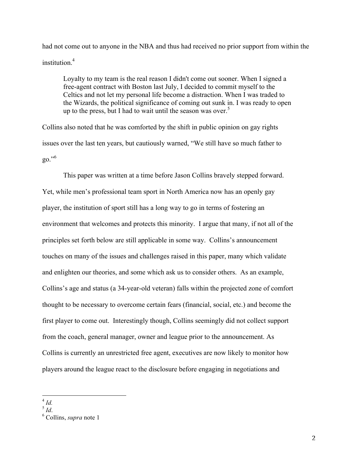had not come out to anyone in the NBA and thus had received no prior support from within the institution $4$ 

Loyalty to my team is the real reason I didn't come out sooner. When I signed a free-agent contract with Boston last July, I decided to commit myself to the Celtics and not let my personal life become a distraction. When I was traded to the Wizards, the political significance of coming out sunk in. I was ready to open up to the press, but I had to wait until the season was over.<sup>5</sup>

Collins also noted that he was comforted by the shift in public opinion on gay rights issues over the last ten years, but cautiously warned, "We still have so much father to go."<sup>6</sup>

This paper was written at a time before Jason Collins bravely stepped forward. Yet, while men's professional team sport in North America now has an openly gay player, the institution of sport still has a long way to go in terms of fostering an environment that welcomes and protects this minority. I argue that many, if not all of the principles set forth below are still applicable in some way. Collins's announcement touches on many of the issues and challenges raised in this paper, many which validate and enlighten our theories, and some which ask us to consider others. As an example, Collins's age and status (a 34-year-old veteran) falls within the projected zone of comfort thought to be necessary to overcome certain fears (financial, social, etc.) and become the first player to come out. Interestingly though, Collins seemingly did not collect support from the coach, general manager, owner and league prior to the announcement. As Collins is currently an unrestricted free agent, executives are now likely to monitor how players around the league react to the disclosure before engaging in negotiations and

 $\int_5^4$  *Id.* 

<sup>&</sup>lt;sup>6</sup> Collins, *supra* note 1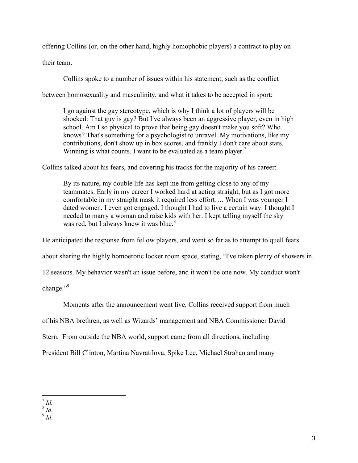offering Collins (or, on the other hand, highly homophobic players) a contract to play on their team.

Collins spoke to a number of issues within his statement, such as the conflict

between homosexuality and masculinity, and what it takes to be accepted in sport:

I go against the gay stereotype, which is why I think a lot of players will be shocked: That guy is gay? But I've always been an aggressive player, even in high school. Am I so physical to prove that being gay doesn't make you soft? Who knows? That's something for a psychologist to unravel. My motivations, like my contributions, don't show up in box scores, and frankly I don't care about stats. Winning is what counts. I want to be evaluated as a team player.<sup>7</sup>

Collins talked about his fears, and covering his tracks for the majority of his career:

By its nature, my double life has kept me from getting close to any of my teammates. Early in my career I worked hard at acting straight, but as I got more comfortable in my straight mask it required less effort…. When I was younger I dated women. I even got engaged. I thought I had to live a certain way. I thought I needed to marry a woman and raise kids with her. I kept telling myself the sky was red, but I always knew it was blue. $8<sup>8</sup>$ 

He anticipated the response from fellow players, and went so far as to attempt to quell fears

about sharing the highly homoerotic locker room space, stating, "I've taken plenty of showers in

12 seasons. My behavior wasn't an issue before, and it won't be one now. My conduct won't

change."<sup>9</sup>

Moments after the announcement went live, Collins received support from much

of his NBA brethren, as well as Wizards' management and NBA Commissioner David

Stern. From outside the NBA world, support came from all directions, including

President Bill Clinton, Martina Navratilova, Spike Lee, Michael Strahan and many

 $\int_{8}^{7}$ *Id.* 

 $\int_{0}^{\infty}$  *Id.* 

<sup>!!!!!!!!!!!!!!!!!!!!!!!!!!!!!!!!!!!!!!!!!!!!!!!!!!!!!!!</sup>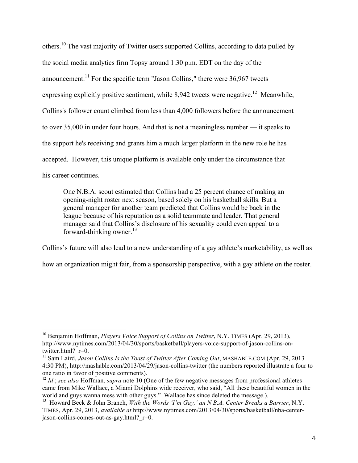others.<sup>10</sup> The vast majority of Twitter users supported Collins, according to data pulled by the social media analytics firm Topsy around 1:30 p.m. EDT on the day of the announcement.<sup>11</sup> For the specific term "Jason Collins," there were  $36,967$  tweets expressing explicitly positive sentiment, while  $8.942$  tweets were negative.<sup>12</sup> Meanwhile, Collins's follower count climbed from less than 4,000 followers before the announcement to over 35,000 in under four hours. And that is not a meaningless number — it speaks to the support he's receiving and grants him a much larger platform in the new role he has accepted. However, this unique platform is available only under the circumstance that his career continues.

One N.B.A. scout estimated that Collins had a 25 percent chance of making an opening-night roster next season, based solely on his basketball skills. But a general manager for another team predicted that Collins would be back in the league because of his reputation as a solid teammate and leader. That general manager said that Collins's disclosure of his sexuality could even appeal to a forward-thinking owner. $^{13}$ 

Collins's future will also lead to a new understanding of a gay athlete's marketability, as well as

how an organization might fair, from a sponsorship perspective, with a gay athlete on the roster.

<sup>10</sup> Benjamin Hoffman, *Players Voice Support of Collins on Twitter*, N.Y. TIMES (Apr. 29, 2013), http://www.nytimes.com/2013/04/30/sports/basketball/players-voice-support-of-jason-collins-ontwitter.html?\_r=0.<br><sup>11</sup> Sam Laird, *Jason Collins Is the Toast of Twitter After Coming Out*, MASHABLE.COM (Apr. 29, 2013

<sup>4:30</sup> PM), http://mashable.com/2013/04/29/jason-collins-twitter (the numbers reported illustrate a four to one ratio in favor of positive comments).

<sup>&</sup>lt;sup>12</sup> *Id*.; *see also* Hoffman, *supra* note 10 (One of the few negative messages from professional athletes came from Mike Wallace, a Miami Dolphins wide receiver, who said, "All these beautiful women in the world and guys wanna mess with other guys." Wallace has since deleted the message.).

<sup>13</sup> Howard Beck & John Branch, *With the Words 'I'm Gay,' an N.B.A. Center Breaks a Barrier*, N.Y. TIMES, Apr. 29, 2013, *available at* http://www.nytimes.com/2013/04/30/sports/basketball/nba-centerjason-collins-comes-out-as-gay.html?\_r=0.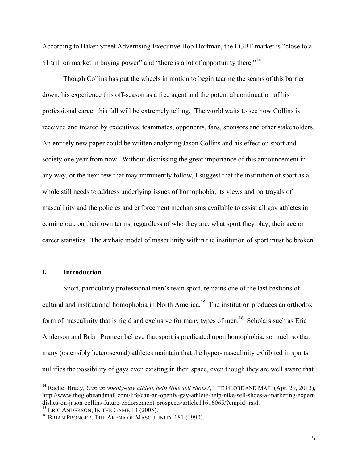According to Baker Street Advertising Executive Bob Dorfman, the LGBT market is "close to a \$1 trillion market in buying power" and "there is a lot of opportunity there."<sup>14</sup>

Though Collins has put the wheels in motion to begin tearing the seams of this barrier down, his experience this off-season as a free agent and the potential continuation of his professional career this fall will be extremely telling. The world waits to see how Collins is received and treated by executives, teammates, opponents, fans, sponsors and other stakeholders. An entirely new paper could be written analyzing Jason Collins and his effect on sport and society one year from now. Without dismissing the great importance of this announcement in any way, or the next few that may imminently follow, I suggest that the institution of sport as a whole still needs to address underlying issues of homophobia, its views and portrayals of masculinity and the policies and enforcement mechanisms available to assist all gay athletes in coming out, on their own terms, regardless of who they are, what sport they play, their age or career statistics. The archaic model of masculinity within the institution of sport must be broken.

#### **I. Introduction**

Sport, particularly professional men's team sport, remains one of the last bastions of cultural and institutional homophobia in North America.<sup>15</sup> The institution produces an orthodox form of masculinity that is rigid and exclusive for many types of men.<sup>16</sup> Scholars such as Eric Anderson and Brian Pronger believe that sport is predicated upon homophobia, so much so that many (ostensibly heterosexual) athletes maintain that the hyper-masculinity exhibited in sports nullifies the possibility of gays even existing in their space, even though they are well aware that

<sup>&</sup>lt;sup>14</sup> Rachel Brady, *Can an openly-gay athlete help Nike sell shoes?*, THE GLOBE AND MAIL (Apr. 29, 2013), http://www.theglobeandmail.com/life/can-an-openly-gay-athlete-help-nike-sell-shoes-a-marketing-expertdishes-on-jason-collins-future-endorsement-prospects/article11616065/?cmpid=rss1.<br><sup>15</sup> ERIC ANDERSON, IN THE GAME 13 (2005).

<sup>&</sup>lt;sup>16</sup> BRIAN PRONGER, THE ARENA OF MASCULINITY 181 (1990).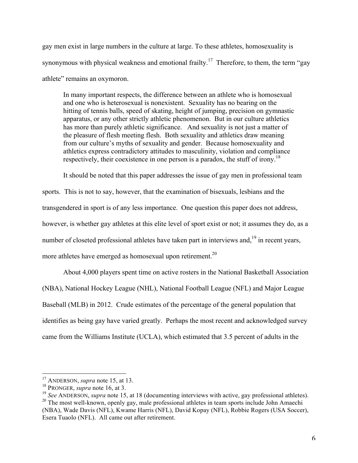gay men exist in large numbers in the culture at large. To these athletes, homosexuality is synonymous with physical weakness and emotional frailty.<sup>17</sup> Therefore, to them, the term "gay athlete" remains an oxymoron.

In many important respects, the difference between an athlete who is homosexual and one who is heterosexual is nonexistent. Sexuality has no bearing on the hitting of tennis balls, speed of skating, height of jumping, precision on gymnastic apparatus, or any other strictly athletic phenomenon. But in our culture athletics has more than purely athletic significance. And sexuality is not just a matter of the pleasure of flesh meeting flesh. Both sexuality and athletics draw meaning from our culture's myths of sexuality and gender. Because homosexuality and athletics express contradictory attitudes to masculinity, violation and compliance respectively, their coexistence in one person is a paradox, the stuff of irony.<sup>18</sup>

It should be noted that this paper addresses the issue of gay men in professional team

sports. This is not to say, however, that the examination of bisexuals, lesbians and the transgendered in sport is of any less importance. One question this paper does not address, however, is whether gay athletes at this elite level of sport exist or not; it assumes they do, as a number of closeted professional athletes have taken part in interviews and,<sup>19</sup> in recent years, more athletes have emerged as homosexual upon retirement.<sup>20</sup>

About 4,000 players spent time on active rosters in the National Basketball Association (NBA), National Hockey League (NHL), National Football League (NFL) and Major League Baseball (MLB) in 2012. Crude estimates of the percentage of the general population that identifies as being gay have varied greatly. Perhaps the most recent and acknowledged survey came from the Williams Institute (UCLA), which estimated that 3.5 percent of adults in the

<sup>!!!!!!!!!!!!!!!!!!!!!!!!!!!!!!!!!!!!!!!!!!!!!!!!!!!!!!!</sup> <sup>17</sup> ANDERSON, *supra* note 15, at 13.

<sup>18</sup> PRONGER, *supra* note 16, at 3.

<sup>&</sup>lt;sup>19</sup> *See* ANDERSON, *supra* note 15, at 18 (documenting interviews with active, gay professional athletes).  $20$  The most well-known, openly gay, male professional athletes in team sports include John Amaechi (NBA), Wade Davis (NFL), Kwame Harris (NFL), David Kopay (NFL), Robbie Rogers (USA Soccer), Esera Tuaolo (NFL). All came out after retirement.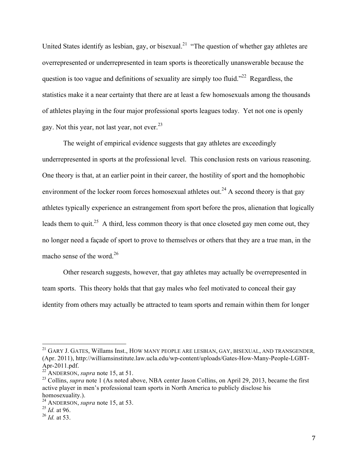United States identify as lesbian, gay, or bisexual.<sup>21</sup> "The question of whether gay athletes are overrepresented or underrepresented in team sports is theoretically unanswerable because the question is too vague and definitions of sexuality are simply too fluid."<sup>22</sup> Regardless, the statistics make it a near certainty that there are at least a few homosexuals among the thousands of athletes playing in the four major professional sports leagues today. Yet not one is openly gay. Not this year, not last year, not ever.<sup>23</sup>

The weight of empirical evidence suggests that gay athletes are exceedingly underrepresented in sports at the professional level. This conclusion rests on various reasoning. One theory is that, at an earlier point in their career, the hostility of sport and the homophobic environment of the locker room forces homosexual athletes out.<sup>24</sup> A second theory is that gay athletes typically experience an estrangement from sport before the pros, alienation that logically leads them to quit.<sup>25</sup> A third, less common theory is that once closeted gay men come out, they no longer need a façade of sport to prove to themselves or others that they are a true man, in the macho sense of the word.<sup>26</sup>

Other research suggests, however, that gay athletes may actually be overrepresented in team sports. This theory holds that that gay males who feel motivated to conceal their gay identity from others may actually be attracted to team sports and remain within them for longer

<sup>21</sup> GARY J. GATES, Willams Inst., HOW MANY PEOPLE ARE LESBIAN, GAY, BISEXUAL, AND TRANSGENDER*,* (Apr. 2011), http://williamsinstitute.law.ucla.edu/wp-content/uploads/Gates-How-Many-People-LGBT-Apr-2011.pdf. <sup>22</sup> ANDERSON, *supra* note 15, at 51.

<sup>&</sup>lt;sup>23</sup> Collins, *supra* note 1 (As noted above, NBA center Jason Collins, on April 29, 2013, became the first active player in men's professional team sports in North America to publicly disclose his homosexuality.).

<sup>24</sup> ANDERSON, *supra* note 15, at 53.

<sup>25</sup> *Id.* at 96.

<sup>26</sup> *Id.* at 53.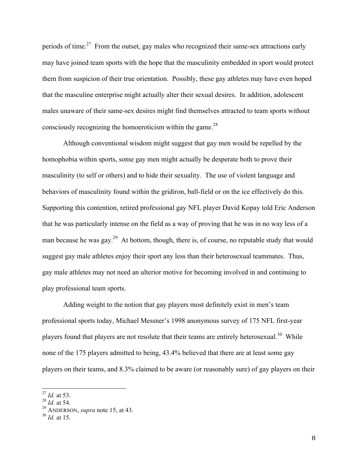periods of time.<sup>27</sup> From the outset, gay males who recognized their same-sex attractions early may have joined team sports with the hope that the masculinity embedded in sport would protect them from suspicion of their true orientation. Possibly, these gay athletes may have even hoped that the masculine enterprise might actually alter their sexual desires. In addition, adolescent males unaware of their same-sex desires might find themselves attracted to team sports without consciously recognizing the homoeroticism within the game.<sup>28</sup>

Although conventional wisdom might suggest that gay men would be repelled by the homophobia within sports, some gay men might actually be desperate both to prove their masculinity (to self or others) and to hide their sexuality. The use of violent language and behaviors of masculinity found within the gridiron, ball-field or on the ice effectively do this. Supporting this contention, retired professional gay NFL player David Kopay told Eric Anderson that he was particularly intense on the field as a way of proving that he was in no way less of a man because he was gay.<sup>29</sup> At bottom, though, there is, of course, no reputable study that would suggest gay male athletes enjoy their sport any less than their heterosexual teammates. Thus, gay male athletes may not need an ulterior motive for becoming involved in and continuing to play professional team sports.

Adding weight to the notion that gay players most definitely exist in men's team professional sports today, Michael Messner's 1998 anonymous survey of 175 NFL first-year players found that players are not resolute that their teams are entirely heterosexual.<sup>30</sup> While none of the 175 players admitted to being, 43.4% believed that there are at least some gay players on their teams, and 8.3% claimed to be aware (or reasonably sure) of gay players on their

<sup>&</sup>lt;sup>27</sup> *Id.* at 53.

<sup>28</sup> *Id.* at 54.

<sup>29</sup> ANDERSON, *supra* note 15, at 43.

<sup>30</sup> *Id.* at 15.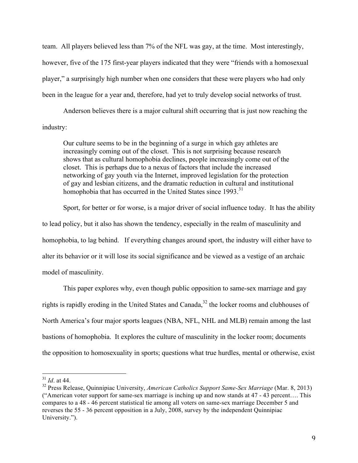team. All players believed less than 7% of the NFL was gay, at the time. Most interestingly, however, five of the 175 first-year players indicated that they were "friends with a homosexual player," a surprisingly high number when one considers that these were players who had only been in the league for a year and, therefore, had yet to truly develop social networks of trust.

Anderson believes there is a major cultural shift occurring that is just now reaching the industry:

Our culture seems to be in the beginning of a surge in which gay athletes are increasingly coming out of the closet. This is not surprising because research shows that as cultural homophobia declines, people increasingly come out of the closet. This is perhaps due to a nexus of factors that include the increased networking of gay youth via the Internet, improved legislation for the protection of gay and lesbian citizens, and the dramatic reduction in cultural and institutional homophobia that has occurred in the United States since 1993.<sup>31</sup>

Sport, for better or for worse, is a major driver of social influence today. It has the ability to lead policy, but it also has shown the tendency, especially in the realm of masculinity and homophobia, to lag behind. If everything changes around sport, the industry will either have to alter its behavior or it will lose its social significance and be viewed as a vestige of an archaic model of masculinity.

This paper explores why, even though public opposition to same-sex marriage and gay rights is rapidly eroding in the United States and Canada,<sup>32</sup> the locker rooms and clubhouses of North America's four major sports leagues (NBA, NFL, NHL and MLB) remain among the last bastions of homophobia. It explores the culture of masculinity in the locker room; documents the opposition to homosexuality in sports; questions what true hurdles, mental or otherwise, exist

<sup>31</sup> *Id*. at 44.

<sup>32</sup> Press Release, Quinnipiac University, *American Catholics Support Same-Sex Marriage* (Mar. 8, 2013) ("American voter support for same-sex marriage is inching up and now stands at 47 - 43 percent…. This compares to a 48 - 46 percent statistical tie among all voters on same-sex marriage December 5 and reverses the 55 - 36 percent opposition in a July, 2008, survey by the independent Quinnipiac University.").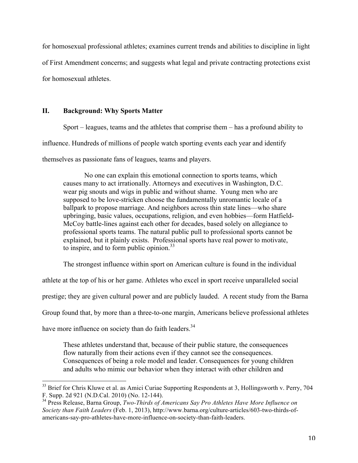for homosexual professional athletes; examines current trends and abilities to discipline in light of First Amendment concerns; and suggests what legal and private contracting protections exist for homosexual athletes.

# **II. Background: Why Sports Matter**

Sport – leagues, teams and the athletes that comprise them – has a profound ability to

influence. Hundreds of millions of people watch sporting events each year and identify

themselves as passionate fans of leagues, teams and players.

No one can explain this emotional connection to sports teams, which causes many to act irrationally. Attorneys and executives in Washington, D.C. wear pig snouts and wigs in public and without shame. Young men who are supposed to be love-stricken choose the fundamentally unromantic locale of a ballpark to propose marriage. And neighbors across thin state lines—who share upbringing, basic values, occupations, religion, and even hobbies—form Hatfield-McCoy battle-lines against each other for decades, based solely on allegiance to professional sports teams. The natural public pull to professional sports cannot be explained, but it plainly exists. Professional sports have real power to motivate, to inspire, and to form public opinion. 33

The strongest influence within sport on American culture is found in the individual

athlete at the top of his or her game. Athletes who excel in sport receive unparalleled social

prestige; they are given cultural power and are publicly lauded. A recent study from the Barna

Group found that, by more than a three-to-one margin, Americans believe professional athletes

have more influence on society than do faith leaders.<sup>34</sup>

These athletes understand that, because of their public stature, the consequences flow naturally from their actions even if they cannot see the consequences. Consequences of being a role model and leader. Consequences for young children and adults who mimic our behavior when they interact with other children and

<sup>&</sup>lt;sup>33</sup> Brief for Chris Kluwe et al. as Amici Curiae Supporting Respondents at 3, Hollingsworth v. Perry, 704 F. Supp. 2d 921 (N.D.Cal. 2010) (No. 12-144).

<sup>34</sup> Press Release, Barna Group, *Two-Thirds of Americans Say Pro Athletes Have More Influence on Society than Faith Leaders* (Feb. 1, 2013), http://www.barna.org/culture-articles/603-two-thirds-ofamericans-say-pro-athletes-have-more-influence-on-society-than-faith-leaders.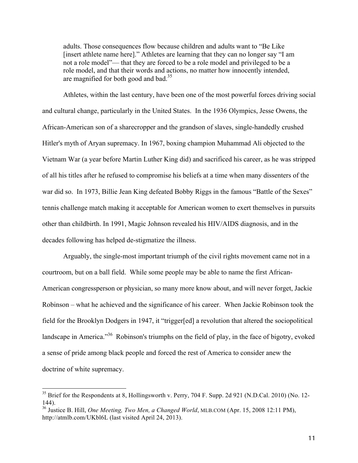adults. Those consequences flow because children and adults want to "Be Like [insert athlete name here]." Athletes are learning that they can no longer say "I am not a role model"— that they are forced to be a role model and privileged to be a role model, and that their words and actions, no matter how innocently intended, are magnified for both good and bad.<sup>35</sup>

Athletes, within the last century, have been one of the most powerful forces driving social and cultural change, particularly in the United States. In the 1936 Olympics, Jesse Owens, the African-American son of a sharecropper and the grandson of slaves, single-handedly crushed Hitler's myth of Aryan supremacy. In 1967, boxing champion Muhammad Ali objected to the Vietnam War (a year before Martin Luther King did) and sacrificed his career, as he was stripped of all his titles after he refused to compromise his beliefs at a time when many dissenters of the war did so. In 1973, Billie Jean King defeated Bobby Riggs in the famous "Battle of the Sexes" tennis challenge match making it acceptable for American women to exert themselves in pursuits other than childbirth. In 1991, Magic Johnson revealed his HIV/AIDS diagnosis, and in the decades following has helped de-stigmatize the illness.

Arguably, the single-most important triumph of the civil rights movement came not in a courtroom, but on a ball field. While some people may be able to name the first African-American congressperson or physician, so many more know about, and will never forget, Jackie Robinson – what he achieved and the significance of his career. When Jackie Robinson took the field for the Brooklyn Dodgers in 1947, it "trigger[ed] a revolution that altered the sociopolitical landscape in America."<sup>36</sup> Robinson's triumphs on the field of play, in the face of bigotry, evoked a sense of pride among black people and forced the rest of America to consider anew the doctrine of white supremacy.

 $35$  Brief for the Respondents at 8, Hollingsworth v. Perry, 704 F. Supp. 2d 921 (N.D.Cal. 2010) (No. 12-144).

<sup>36</sup> Justice B. Hill, *One Meeting, Two Men, a Changed World*, MLB.COM (Apr. 15, 2008 12:11 PM), http://atmlb.com/UKbl6L (last visited April 24, 2013).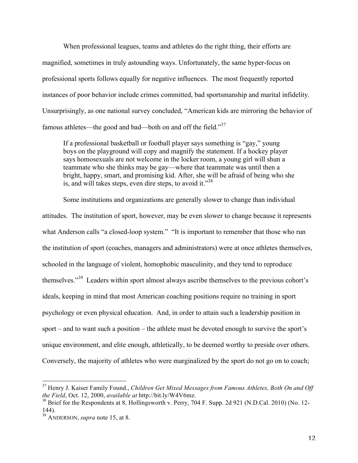When professional leagues, teams and athletes do the right thing, their efforts are magnified, sometimes in truly astounding ways. Unfortunately, the same hyper-focus on professional sports follows equally for negative influences. The most frequently reported instances of poor behavior include crimes committed, bad sportsmanship and marital infidelity. Unsurprisingly, as one national survey concluded, "American kids are mirroring the behavior of famous athletes—the good and bad—both on and off the field."<sup>37</sup>

If a professional basketball or football player says something is "gay," young boys on the playground will copy and magnify the statement. If a hockey player says homosexuals are not welcome in the locker room, a young girl will shun a teammate who she thinks may be gay—where that teammate was until then a bright, happy, smart, and promising kid. After, she will be afraid of being who she is, and will takes steps, even dire steps, to avoid it."38

Some institutions and organizations are generally slower to change than individual attitudes. The institution of sport, however, may be even slower to change because it represents what Anderson calls "a closed-loop system." "It is important to remember that those who run the institution of sport (coaches, managers and administrators) were at once athletes themselves, schooled in the language of violent, homophobic masculinity, and they tend to reproduce themselves."<sup>39</sup> Leaders within sport almost always ascribe themselves to the previous cohort's ideals, keeping in mind that most American coaching positions require no training in sport psychology or even physical education. And, in order to attain such a leadership position in sport – and to want such a position – the athlete must be devoted enough to survive the sport's unique environment, and elite enough, athletically, to be deemed worthy to preside over others. Conversely, the majority of athletes who were marginalized by the sport do not go on to coach;

<sup>&</sup>lt;sup>37</sup> Henry J. Kaiser Family Found., *Children Get Mixed Messages from Famous Athletes, Both On and Off the Field*, Oct. 12, 2000, *available at http://bit.ly/W4V6mz.* 

<sup>&</sup>lt;sup>38</sup> Brief for the Respondents at 8, Hollingsworth v. Perry, 704 F. Supp. 2d 921 (N.D.Cal. 2010) (No. 12-144).

<sup>39</sup> ANDERSON, *supra* note 15, at 8.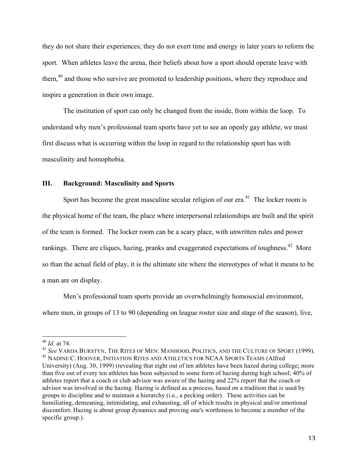they do not share their experiences; they do not exert time and energy in later years to reform the sport. When athletes leave the arena, their beliefs about how a sport should operate leave with them,<sup>40</sup> and those who survive are promoted to leadership positions, where they reproduce and inspire a generation in their own image.

The institution of sport can only be changed from the inside, from within the loop. To understand why men's professional team sports have yet to see an openly gay athlete, we must first discuss what is occurring within the loop in regard to the relationship sport has with masculinity and homophobia.

# **III. Background: Masculinity and Sports**

Sport has become the great masculine secular religion of our  $era<sup>41</sup>$ . The locker room is the physical home of the team, the place where interpersonal relationships are built and the spirit of the team is formed. The locker room can be a scary place, with unwritten rules and power rankings. There are cliques, hazing, pranks and exaggerated expectations of toughness.<sup>42</sup> More so than the actual field of play, it is the ultimate site where the stereotypes of what it means to be a man are on display.

Men's professional team sports provide an overwhelmingly homosocial environment, where men, in groups of 13 to 90 (depending on league roster size and stage of the season), live,

<sup>&</sup>lt;sup>40</sup> *Id.* at 74.

<sup>41</sup> *See* VARDA BURSTYN, THE RITES OF MEN: MANHOOD, POLITICS, AND THE CULTURE OF SPORT (1999). <sup>42</sup> NADINE C. HOOVER, INITIATION RITES AND ATHLETICS FOR NCAA SPORTS TEAMS (Alfred University) (Aug. 30, 1999) (revealing that eight out of ten athletes have been hazed during college; more than five out of every ten athletes has been subjected to some form of hazing during high school; 40% of athletes report that a coach or club advisor was aware of the hazing and 22% report that the coach or advisor was involved in the hazing. Hazing is defined as a process, based on a tradition that is used by groups to discipline and to maintain a hierarchy (i.e., a pecking order). These activities can be humiliating, demeaning, intimidating, and exhausting, all of which results in physical and/or emotional discomfort. Hazing is about group dynamics and proving one's worthiness to become a member of the specific group.).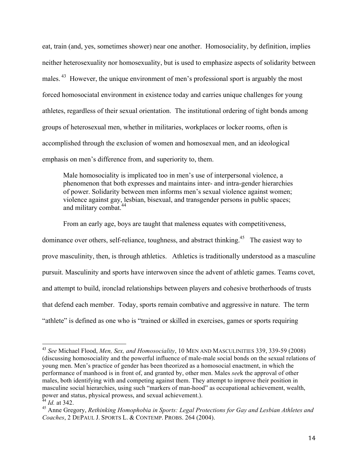eat, train (and, yes, sometimes shower) near one another. Homosociality, by definition, implies neither heterosexuality nor homosexuality, but is used to emphasize aspects of solidarity between males.<sup>43</sup> However, the unique environment of men's professional sport is arguably the most forced homosociatal environment in existence today and carries unique challenges for young athletes, regardless of their sexual orientation. The institutional ordering of tight bonds among groups of heterosexual men, whether in militaries, workplaces or locker rooms, often is accomplished through the exclusion of women and homosexual men, and an ideological emphasis on men's difference from, and superiority to, them.

Male homosociality is implicated too in men's use of interpersonal violence, a phenomenon that both expresses and maintains inter- and intra-gender hierarchies of power. Solidarity between men informs men's sexual violence against women; violence against gay, lesbian, bisexual, and transgender persons in public spaces; and military combat. 44

From an early age, boys are taught that maleness equates with competitiveness,

dominance over others, self-reliance, toughness, and abstract thinking.<sup>45</sup> The easiest way to prove masculinity, then, is through athletics. Athletics is traditionally understood as a masculine pursuit. Masculinity and sports have interwoven since the advent of athletic games. Teams covet, and attempt to build, ironclad relationships between players and cohesive brotherhoods of trusts that defend each member. Today, sports remain combative and aggressive in nature. The term "athlete" is defined as one who is "trained or skilled in exercises, games or sports requiring

<sup>43</sup> *See* Michael Flood, *Men, Sex, and Homosociality*, 10 MEN AND MASCULINITIES 339, 339-59 (2008) (discussing homosociality and the powerful influence of male-male social bonds on the sexual relations of young men. Men's practice of gender has been theorized as a homosocial enactment, in which the performance of manhood is in front of, and granted by, other men. Males *see*k the approval of other males, both identifying with and competing against them. They attempt to improve their position in masculine social hierarchies, using such "markers of man-hood" as occupational achievement, wealth, power and status, physical prowess, and sexual achievement.).

*Id.* at 342.

<sup>45</sup> Anne Gregory, *Rethinking Homophobia in Sports: Legal Protections for Gay and Lesbian Athletes and Coaches*, 2 DEPAUL J. SPORTS L. & CONTEMP. PROBS. 264 (2004).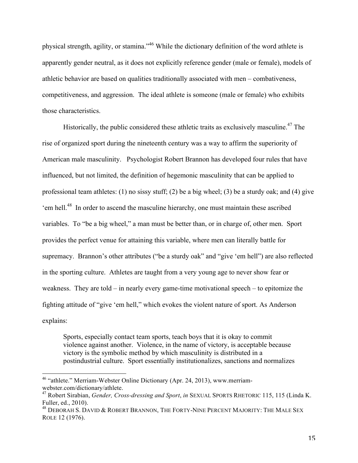physical strength, agility, or stamina."<sup>46</sup> While the dictionary definition of the word athlete is apparently gender neutral, as it does not explicitly reference gender (male or female), models of athletic behavior are based on qualities traditionally associated with men – combativeness, competitiveness, and aggression. The ideal athlete is someone (male or female) who exhibits those characteristics.

Historically, the public considered these athletic traits as exclusively masculine.<sup>47</sup> The rise of organized sport during the nineteenth century was a way to affirm the superiority of American male masculinity. Psychologist Robert Brannon has developed four rules that have influenced, but not limited, the definition of hegemonic masculinity that can be applied to professional team athletes: (1) no sissy stuff; (2) be a big wheel; (3) be a sturdy oak; and (4) give 'em hell.<sup>48</sup> In order to ascend the masculine hierarchy, one must maintain these ascribed variables. To "be a big wheel," a man must be better than, or in charge of, other men. Sport provides the perfect venue for attaining this variable, where men can literally battle for supremacy. Brannon's other attributes ("be a sturdy oak" and "give 'em hell") are also reflected in the sporting culture. Athletes are taught from a very young age to never show fear or weakness. They are told – in nearly every game-time motivational speech – to epitomize the fighting attitude of "give 'em hell," which evokes the violent nature of sport. As Anderson explains:

Sports, especially contact team sports, teach boys that it is okay to commit violence against another. Violence, in the name of victory, is acceptable because victory is the symbolic method by which masculinity is distributed in a postindustrial culture. Sport essentially institutionalizes, sanctions and normalizes

<sup>&</sup>lt;sup>46</sup> "athlete." Merriam-Webster Online Dictionary (Apr. 24, 2013), www.merriamwebster.com/dictionary/athlete.<br><sup>47</sup> Robert Sirabian, *Gender, Cross-dressing and Sport*, *in* SEXUAL SPORTS RHETORIC 115, 115 (Linda K.

Fuller, ed., 2010).

<sup>&</sup>lt;sup>48</sup> DEBORAH S. DAVID & ROBERT BRANNON, THE FORTY-NINE PERCENT MAJORITY: THE MALE SEX ROLE 12 (1976).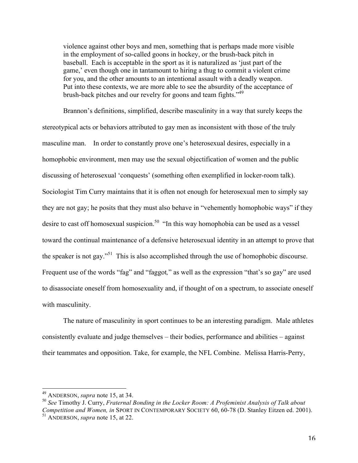violence against other boys and men, something that is perhaps made more visible in the employment of so-called goons in hockey, or the brush-back pitch in baseball. Each is acceptable in the sport as it is naturalized as 'just part of the game,' even though one in tantamount to hiring a thug to commit a violent crime for you, and the other amounts to an intentional assault with a deadly weapon. Put into these contexts, we are more able to see the absurdity of the acceptance of brush-back pitches and our revelry for goons and team fights."<sup>49</sup>

Brannon's definitions, simplified, describe masculinity in a way that surely keeps the stereotypical acts or behaviors attributed to gay men as inconsistent with those of the truly masculine man. In order to constantly prove one's heterosexual desires, especially in a homophobic environment, men may use the sexual objectification of women and the public discussing of heterosexual 'conquests' (something often exemplified in locker-room talk). Sociologist Tim Curry maintains that it is often not enough for heterosexual men to simply say they are not gay; he posits that they must also behave in "vehemently homophobic ways" if they desire to cast off homosexual suspicion.<sup>50</sup> "In this way homophobia can be used as a vessel toward the continual maintenance of a defensive heterosexual identity in an attempt to prove that the speaker is not gay.<sup> $51$ </sup> This is also accomplished through the use of homophobic discourse. Frequent use of the words "fag" and "faggot," as well as the expression "that's so gay" are used to disassociate oneself from homosexuality and, if thought of on a spectrum, to associate oneself with masculinity.

The nature of masculinity in sport continues to be an interesting paradigm. Male athletes consistently evaluate and judge themselves – their bodies, performance and abilities – against their teammates and opposition. Take, for example, the NFL Combine. Melissa Harris-Perry,

<sup>&</sup>lt;sup>49</sup> ANDERSON, *supra* note 15, at 34.

<sup>50</sup> *See* Timothy J. Curry, *Fraternal Bonding in the Locker Room: A Profeminist Analysis of Talk about Competition and Women, in* SPORT IN CONTEMPORARY SOCIETY 60, 60-78 (D. Stanley Eitzen ed. 2001). <sup>51</sup> ANDERSON, *supra* note 15, at 22.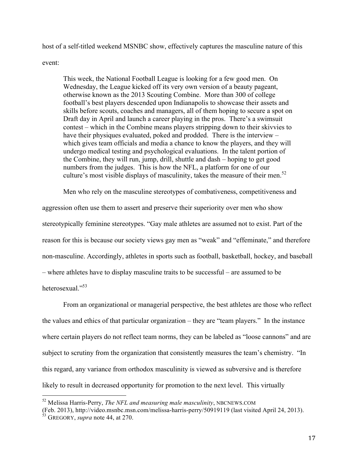host of a self-titled weekend MSNBC show, effectively captures the masculine nature of this

event:

This week, the National Football League is looking for a few good men. On Wednesday, the League kicked off its very own version of a beauty pageant, otherwise known as the 2013 Scouting Combine. More than 300 of college football's best players descended upon Indianapolis to showcase their assets and skills before scouts, coaches and managers, all of them hoping to secure a spot on Draft day in April and launch a career playing in the pros. There's a swimsuit contest – which in the Combine means players stripping down to their skivvies to have their physiques evaluated, poked and prodded. There is the interview – which gives team officials and media a chance to know the players, and they will undergo medical testing and psychological evaluations. In the talent portion of the Combine, they will run, jump, drill, shuttle and dash – hoping to get good numbers from the judges. This is how the NFL, a platform for one of our culture's most visible displays of masculinity, takes the measure of their men. 52

Men who rely on the masculine stereotypes of combativeness, competitiveness and

aggression often use them to assert and preserve their superiority over men who show stereotypically feminine stereotypes. "Gay male athletes are assumed not to exist. Part of the reason for this is because our society views gay men as "weak" and "effeminate," and therefore non-masculine. Accordingly, athletes in sports such as football, basketball, hockey, and baseball – where athletes have to display masculine traits to be successful – are assumed to be heterosexual."<sup>53</sup>

From an organizational or managerial perspective, the best athletes are those who reflect the values and ethics of that particular organization – they are "team players." In the instance where certain players do not reflect team norms, they can be labeled as "loose cannons" and are subject to scrutiny from the organization that consistently measures the team's chemistry. "In this regard, any variance from orthodox masculinity is viewed as subversive and is therefore likely to result in decreased opportunity for promotion to the next level. This virtually

<sup>52</sup> Melissa Harris-Perry, *The NFL and measuring male masculinity*, NBCNEWS.COM

<sup>(</sup>Feb. 2013), http://video.msnbc.msn.com/melissa-harris-perry/50919119 (last visited April 24, 2013).

<sup>53</sup> GREGORY, *supra* note 44, at 270.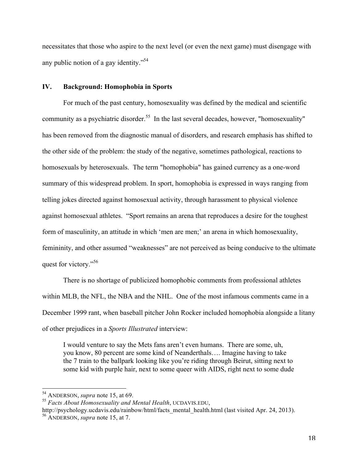necessitates that those who aspire to the next level (or even the next game) must disengage with any public notion of a gay identity."<sup>54</sup>

#### **IV. Background: Homophobia in Sports**

For much of the past century, homosexuality was defined by the medical and scientific community as a psychiatric disorder.<sup>55</sup> In the last several decades, however, "homosexuality" has been removed from the diagnostic manual of disorders, and research emphasis has shifted to the other side of the problem: the study of the negative, sometimes pathological, reactions to homosexuals by heterosexuals. The term "homophobia" has gained currency as a one-word summary of this widespread problem. In sport, homophobia is expressed in ways ranging from telling jokes directed against homosexual activity, through harassment to physical violence against homosexual athletes. "Sport remains an arena that reproduces a desire for the toughest form of masculinity, an attitude in which 'men are men;' an arena in which homosexuality, femininity, and other assumed "weaknesses" are not perceived as being conducive to the ultimate quest for victory."<sup>56</sup>

There is no shortage of publicized homophobic comments from professional athletes within MLB, the NFL, the NBA and the NHL. One of the most infamous comments came in a December 1999 rant, when baseball pitcher John Rocker included homophobia alongside a litany of other prejudices in a *Sports Illustrated* interview:

I would venture to say the Mets fans aren't even humans. There are some, uh, you know, 80 percent are some kind of Neanderthals…. Imagine having to take the 7 train to the ballpark looking like you're riding through Beirut, sitting next to some kid with purple hair, next to some queer with AIDS, right next to some dude

<sup>&</sup>lt;sup>54</sup> ANDERSON, *supra* note 15, at 69.

<sup>55</sup> *Facts About Homosexuality and Mental Health*, UCDAVIS.EDU,

http://psychology.ucdavis.edu/rainbow/html/facts\_mental\_health.html (last visited Apr. 24, 2013). <sup>56</sup> ANDERSON, *supra* note 15, at 7.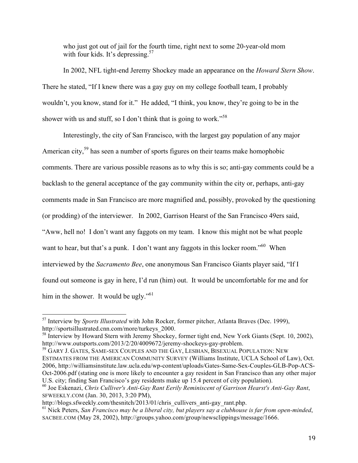who just got out of jail for the fourth time, right next to some 20-year-old mom with four kids. It's depressing.<sup>57</sup>

In 2002, NFL tight-end Jeremy Shockey made an appearance on the *Howard Stern Show*. There he stated, "If I knew there was a gay guy on my college football team, I probably wouldn't, you know, stand for it." He added, "I think, you know, they're going to be in the shower with us and stuff, so I don't think that is going to work."<sup>58</sup>

Interestingly, the city of San Francisco, with the largest gay population of any major American city,<sup>59</sup> has seen a number of sports figures on their teams make homophobic comments. There are various possible reasons as to why this is so; anti-gay comments could be a backlash to the general acceptance of the gay community within the city or, perhaps, anti-gay comments made in San Francisco are more magnified and, possibly, provoked by the questioning (or prodding) of the interviewer. In 2002, Garrison Hearst of the San Francisco 49ers said, "Aww, hell no! I don't want any faggots on my team. I know this might not be what people want to hear, but that's a punk. I don't want any faggots in this locker room."<sup>60</sup> When interviewed by the *Sacramento Bee*, one anonymous San Francisco Giants player said, "If I found out someone is gay in here, I'd run (him) out. It would be uncomfortable for me and for him in the shower. It would be ugly."<sup>61</sup>

<sup>&</sup>lt;sup>57</sup> Interview by *Sports Illustrated* with John Rocker, former pitcher, Atlanta Braves (Dec. 1999), http://sportsillustrated.cnn.com/more/turkeys\_2000.

<sup>&</sup>lt;sup>58</sup> Interview by Howard Stern with Jeremy Shockey, former tight end, New York Giants (Sept. 10, 2002), http://www.outsports.com/2013/2/20/4009672/jeremy-shockeys-gay-problem. <sup>59</sup> GARY J. GATES, SAME-SEX COUPLES AND THE GAY, LESBIAN, BISEXUAL POPULATION: NEW

ESTIMATES FROM THE AMERICAN COMMUNITY SURVEY (Williams Institute, UCLA School of Law), Oct. 2006, http://williamsinstitute.law.ucla.edu/wp-content/uploads/Gates-Same-Sex-Couples-GLB-Pop-ACS-Oct-2006.pdf (stating one is more likely to encounter a gay resident in San Francisco than any other major U.S. city; finding San Francisco's gay residents make up 15.4 percent of city population).

<sup>60</sup> Joe Eskenazi, *Chris Culliver's Anti-Gay Rant Eerily Reminiscent of Garrison Hearst's Anti-Gay Rant*, SFWEEKLY.COM (Jan. 30, 2013, 3:20 PM),<br>http://blogs.sfweekly.com/thesnitch/2013/01/chris cullivers anti-gay rant.php.

 $h_0$ <sup>61</sup> Nick Peters, *San Francisco may be a liberal city, but players say a clubhouse is far from open-minded,* SACBEE.COM (May 28, 2002), http://groups.yahoo.com/group/newsclippings/message/1666.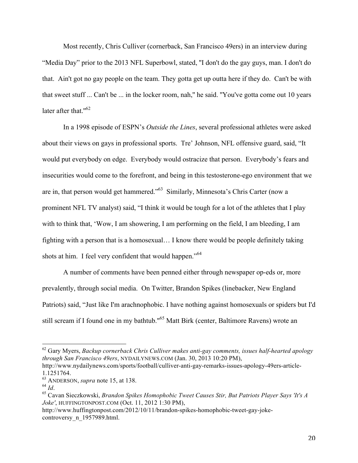Most recently, Chris Culliver (cornerback, San Francisco 49ers) in an interview during "Media Day" prior to the 2013 NFL Superbowl, stated, ''I don't do the gay guys, man. I don't do that. Ain't got no gay people on the team. They gotta get up outta here if they do. Can't be with that sweet stuff ... Can't be ... in the locker room, nah,'' he said. ''You've gotta come out 10 years later after that."<sup>62</sup>

In a 1998 episode of ESPN's *Outside the Lines*, several professional athletes were asked about their views on gays in professional sports. Tre' Johnson, NFL offensive guard, said, "It would put everybody on edge. Everybody would ostracize that person. Everybody's fears and insecurities would come to the forefront, and being in this testosterone-ego environment that we are in, that person would get hammered."<sup>63</sup> Similarly, Minnesota's Chris Carter (now a prominent NFL TV analyst) said, "I think it would be tough for a lot of the athletes that I play with to think that, 'Wow, I am showering, I am performing on the field, I am bleeding, I am fighting with a person that is a homosexual… I know there would be people definitely taking shots at him. I feel very confident that would happen."<sup>64</sup>

A number of comments have been penned either through newspaper op-eds or, more prevalently, through social media. On Twitter, Brandon Spikes (linebacker, New England Patriots) said, "Just like I'm arachnophobic. I have nothing against homosexuals or spiders but I'd still scream if I found one in my bathtub."<sup>65</sup> Matt Birk (center, Baltimore Ravens) wrote an

<sup>62</sup> Gary Myers, *Backup cornerback Chris Culliver makes anti-gay comments, issues half-hearted apology through San Francisco 49ers*, NYDAILYNEWS.COM (Jan. 30, 2013 10:20 PM),

http://www.nydailynews.com/sports/football/culliver-anti-gay-remarks-issues-apology-49ers-article-1.1251764.<br><sup>63</sup> ANDERSON, *supra* note 15, at 138.<br><sup>64</sup> Id

<sup>&</sup>lt;sup>65</sup> Cavan Sieczkowski, *Brandon Spikes Homophobic Tweet Causes Stir, But Patriots Player Says 'It's A Joke'*, HUFFINGTONPOST.COM (Oct. 11, 2012 1:30 PM),

http://www.huffingtonpost.com/2012/10/11/brandon-spikes-homophobic-tweet-gay-jokecontroversy n 1957989.html.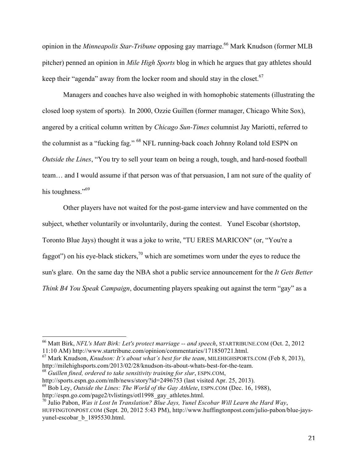opinion in the *Minneapolis Star-Tribune* opposing gay marriage. 66 Mark Knudson (former MLB pitcher) penned an opinion in *Mile High Sports* blog in which he argues that gay athletes should keep their "agenda" away from the locker room and should stay in the closet.<sup>67</sup>

Managers and coaches have also weighed in with homophobic statements (illustrating the closed loop system of sports). In 2000, Ozzie Guillen (former manager, Chicago White Sox), angered by a critical column written by *Chicago Sun-Times* columnist Jay Mariotti, referred to the columnist as a "fucking fag." 68 NFL running-back coach Johnny Roland told ESPN on *Outside the Lines*, "You try to sell your team on being a rough, tough, and hard-nosed football team… and I would assume if that person was of that persuasion, I am not sure of the quality of his toughness."<sup>69</sup>

Other players have not waited for the post-game interview and have commented on the subject, whether voluntarily or involuntarily, during the contest. Yunel Escobar (shortstop, Toronto Blue Jays) thought it was a joke to write, "TU ERES MARICON" (or, "You're a faggot") on his eye-black stickers,  $\frac{70}{10}$  which are sometimes worn under the eyes to reduce the sun's glare. On the same day the NBA shot a public service announcement for the *It Gets Better Think B4 You Speak Campaign*, documenting players speaking out against the term "gay" as a

http://milehighsports.com/2013/02/28/knudson-its-about-whats-best-for-the-team.

<sup>68</sup> *Guillen fined, ordered to take sensitivity training for slur*, ESPN.COM,

http://sports.espn.go.com/mlb/news/story?id=2496753 (last visited Apr. 25, 2013).

<sup>&</sup>lt;sup>66</sup> Matt Birk, *NFL's Matt Birk: Let's protect marriage -- and speech*, STARTRIBUNE.COM (Oct. 2, 2012) 11:10 AM) http://www.startribune.com/opinion/commentaries/171850721.html. 67 Mark Knudson, *Knudson: It's about what's best for the team*, MILEHIGHSPORTS.COM (Feb 8, 2013),

<sup>69</sup> Bob Ley, *Outside the Lines: The World of the Gay Athlete*, ESPN.COM (Dec. 16, 1988),

http://espn.go.com/page2/tvlistings/otl1998\_gay\_athletes.html. 70 Julio Pabon, *Was it Lost In Translation? Blue Jays, Yunel Escobar Will Learn the Hard Way*, HUFFINGTONPOST.COM (Sept. 20, 2012 5:43 PM), http://www.huffingtonpost.com/julio-pabon/blue-jaysyunel-escobar\_b\_1895530.html.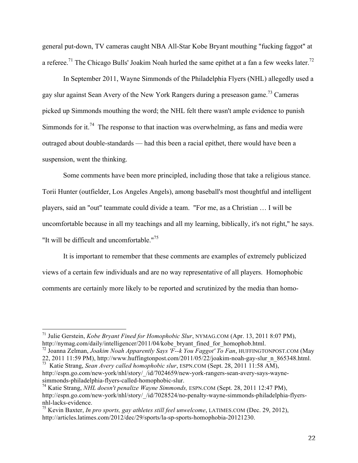general put-down, TV cameras caught NBA All-Star Kobe Bryant mouthing "fucking faggot" at a referee.<sup>71</sup> The Chicago Bulls' Joakim Noah hurled the same epithet at a fan a few weeks later.<sup>72</sup>

In September 2011, Wayne Simmonds of the Philadelphia Flyers (NHL) allegedly used a gay slur against Sean Avery of the New York Rangers during a preseason game.<sup>73</sup> Cameras picked up Simmonds mouthing the word; the NHL felt there wasn't ample evidence to punish Simmonds for it.<sup>74</sup> The response to that inaction was overwhelming, as fans and media were outraged about double-standards — had this been a racial epithet, there would have been a suspension, went the thinking.

Some comments have been more principled, including those that take a religious stance. Torii Hunter (outfielder, Los Angeles Angels), among baseball's most thoughtful and intelligent players, said an "out" teammate could divide a team. "For me, as a Christian … I will be uncomfortable because in all my teachings and all my learning, biblically, it's not right," he says. "It will be difficult and uncomfortable."<sup>75</sup>

It is important to remember that these comments are examples of extremely publicized views of a certain few individuals and are no way representative of all players. Homophobic comments are certainly more likely to be reported and scrutinized by the media than homo-

<sup>&</sup>lt;sup>71</sup> Julie Gerstein, *Kobe Bryant Fined for Homophobic Slur*, NYMAG.COM (Apr. 13, 2011 8:07 PM), http://nymag.com/daily/intelligencer/2011/04/kobe bryant fined for homophob.html.

<sup>&</sup>lt;sup>72</sup> Joanna Zelman, *Joakim Noah Apparently Says 'F--k You Faggot' To Fan*, HUFFINGTONPOST.COM (May 22, 2011 11:59 PM), http://www.huffingtonpost.com/2011/05/22/joakim-noah-gay-slur\_n\_865348.html. 73 Katie Strang, *Sean Avery called homophobic slur*, ESPN.COM (Sept. 28, 2011 11:58 AM),

http://espn.go.com/new-york/nhl/story/\_/id/7024659/new-york-rangers-sean-avery-says-waynesimmonds-philadelphia-flyers-called-homophobic-slur. <sup>74</sup> Katie Strang, *NHL doesn't penalize Wayne Simmonds,* ESPN.COM (Sept. 28, 2011 12:47 PM),

http://espn.go.com/new-york/nhl/story/\_/id/7028524/no-penalty-wayne-simmonds-philadelphia-flyers-

<sup>&</sup>lt;sup>75</sup> Kevin Baxter, *In pro sports, gay athletes still feel unwelcome*, LATIMES.COM (Dec. 29, 2012), http://articles.latimes.com/2012/dec/29/sports/la-sp-sports-homophobia-20121230.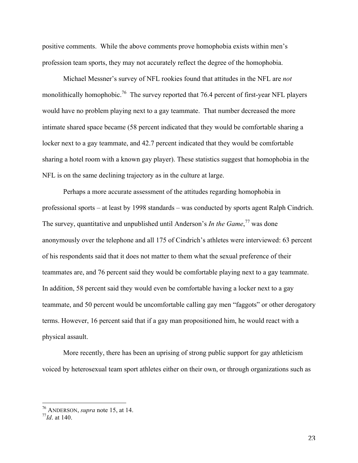positive comments. While the above comments prove homophobia exists within men's profession team sports, they may not accurately reflect the degree of the homophobia.

Michael Messner's survey of NFL rookies found that attitudes in the NFL are *not* monolithically homophobic.<sup>76</sup> The survey reported that 76.4 percent of first-year NFL players would have no problem playing next to a gay teammate. That number decreased the more intimate shared space became (58 percent indicated that they would be comfortable sharing a locker next to a gay teammate, and 42.7 percent indicated that they would be comfortable sharing a hotel room with a known gay player). These statistics suggest that homophobia in the NFL is on the same declining trajectory as in the culture at large.

Perhaps a more accurate assessment of the attitudes regarding homophobia in professional sports – at least by 1998 standards – was conducted by sports agent Ralph Cindrich. The survey, quantitative and unpublished until Anderson's *In the Game*, 77 was done anonymously over the telephone and all 175 of Cindrich's athletes were interviewed: 63 percent of his respondents said that it does not matter to them what the sexual preference of their teammates are, and 76 percent said they would be comfortable playing next to a gay teammate. In addition, 58 percent said they would even be comfortable having a locker next to a gay teammate, and 50 percent would be uncomfortable calling gay men "faggots" or other derogatory terms. However, 16 percent said that if a gay man propositioned him, he would react with a physical assault.

More recently, there has been an uprising of strong public support for gay athleticism voiced by heterosexual team sport athletes either on their own, or through organizations such as

<sup>!!!!!!!!!!!!!!!!!!!!!!!!!!!!!!!!!!!!!!!!!!!!!!!!!!!!!!!</sup> <sup>76</sup> ANDERSON, *supra* note 15, at 14.

<sup>77</sup>*Id*. at 140.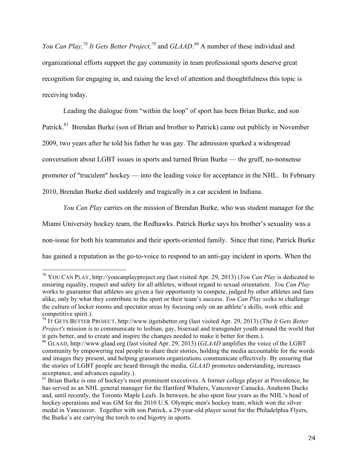*You Can Play, <sup>78</sup> It Gets Better Project, <sup>79</sup>* and *GLAAD*. *<sup>80</sup>* A number of these individual and organizational efforts support the gay community in team professional sports deserve great recognition for engaging in, and raising the level of attention and thoughtfulness this topic is receiving today.

Leading the dialogue from "within the loop" of sport has been Brian Burke, and son Patrick.<sup>81</sup> Brendan Burke (son of Brian and brother to Patrick) came out publicly in November 2009, two years after he told his father he was gay. The admission sparked a widespread conversation about LGBT issues in sports and turned Brian Burke — the gruff, no-nonsense promoter of "truculent" hockey — into the leading voice for acceptance in the NHL. In February 2010, Brendan Burke died suddenly and tragically in a car accident in Indiana.

*You Can Play* carries on the mission of Brendan Burke, who was student manager for the Miami University hockey team, the Redhawks. Patrick Burke says his brother's sexuality was a non-issue for both his teammates and their sports-oriented family. Since that time, Patrick Burke has gained a reputation as the go-to-voice to respond to an anti-gay incident in sports. When the

<sup>78</sup> YOU CAN PLAY, http://youcanplayproject.org (last visited Apr. 29, 2013) (*You Can Play* is dedicated to ensuring equality, respect and safety for all athletes, without regard to sexual orientation. *You Can Play* works to guarantee that athletes are given a fair opportunity to compete, judged by other athletes and fans alike, only by what they contribute to the sport or their team's success. *You Can Play see*ks to challenge the culture of locker rooms and spectator areas by focusing only on an athlete's skills, work ethic and competitive spirit.).

<sup>79</sup> IT GETS BETTER PROJECT, http://www.itgetsbetter.org (last visited Apr. 29, 2013) (The *It Gets Better Project's* mission is to communicate to lesbian, gay, bisexual and transgender youth around the world that it gets better, and to create and inspire the changes needed to make it better for them.).

<sup>&</sup>lt;sup>80</sup> GLAAD, http://www.glaad.org (last visited Apr. 29, 2013) (*GLAAD* amplifies the voice of the LGBT community by empowering real people to share their stories, holding the media accountable for the words and images they present, and helping grassroots organizations communicate effectively. By ensuring that the stories of LGBT people are heard through the media, *GLAAD* promotes understanding, increases acceptance, and advances equality.).

<sup>&</sup>lt;sup>81</sup> Brian Burke is one of hockey's most prominent executives. A former college player at Providence, he has served as an NHL general manager for the Hartford Whalers, Vancouver Canucks, Anaheim Ducks and, until recently, the Toronto Maple Leafs. In between, he also spent four years as the NHL's head of hockey operations and was GM for the 2010 U.S. Olympic men's hockey team, which won the silver medal in Vancouver. Together with son Patrick, a 29-year-old player scout for the Philadelphia Flyers, the Burke's are carrying the torch to end bigotry in sports.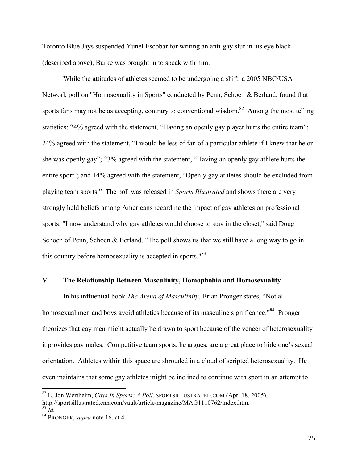Toronto Blue Jays suspended Yunel Escobar for writing an anti-gay slur in his eye black (described above), Burke was brought in to speak with him.

While the attitudes of athletes seemed to be undergoing a shift, a 2005 NBC/USA Network poll on "Homosexuality in Sports" conducted by Penn, Schoen & Berland, found that sports fans may not be as accepting, contrary to conventional wisdom.<sup>82</sup> Among the most telling statistics: 24% agreed with the statement, "Having an openly gay player hurts the entire team"; 24% agreed with the statement, "I would be less of fan of a particular athlete if I knew that he or she was openly gay"; 23% agreed with the statement, "Having an openly gay athlete hurts the entire sport"; and 14% agreed with the statement, "Openly gay athletes should be excluded from playing team sports." The poll was released in *Sports Illustrated* and shows there are very strongly held beliefs among Americans regarding the impact of gay athletes on professional sports. "I now understand why gay athletes would choose to stay in the closet," said Doug Schoen of Penn, Schoen & Berland. "The poll shows us that we still have a long way to go in this country before homosexuality is accepted in sports."<sup>83</sup>

#### **V. The Relationship Between Masculinity, Homophobia and Homosexuality**

In his influential book *The Arena of Masculinity*, Brian Pronger states, "Not all homosexual men and boys avoid athletics because of its masculine significance."<sup>84</sup> Pronger theorizes that gay men might actually be drawn to sport because of the veneer of heterosexuality it provides gay males. Competitive team sports, he argues, are a great place to hide one's sexual orientation. Athletes within this space are shrouded in a cloud of scripted heterosexuality. He even maintains that some gay athletes might be inclined to continue with sport in an attempt to

<sup>&</sup>lt;sup>82</sup> L. Jon Wertheim, *Gays In Sports: A Poll*, SPORTSILLUSTRATED.COM (Apr. 18, 2005), http://sportsillustrated.cnn.com/vault/article/magazine/MAG1110762/index.htm. <sup>83</sup> *Id.*

<sup>&</sup>lt;sup>84</sup> PRONGER, *supra* note 16, at 4.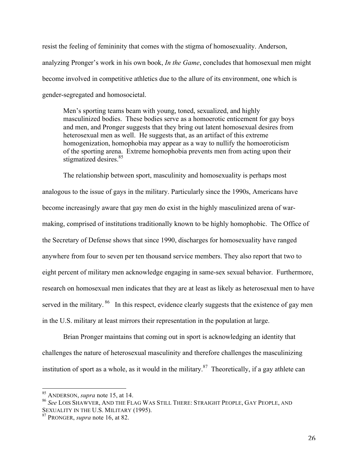resist the feeling of femininity that comes with the stigma of homosexuality. Anderson, analyzing Pronger's work in his own book, *In the Game*, concludes that homosexual men might become involved in competitive athletics due to the allure of its environment, one which is gender-segregated and homosocietal.

Men's sporting teams beam with young, toned, sexualized, and highly masculinized bodies. These bodies serve as a homoerotic enticement for gay boys and men, and Pronger suggests that they bring out latent homosexual desires from heterosexual men as well. He suggests that, as an artifact of this extreme homogenization, homophobia may appear as a way to nullify the homoeroticism of the sporting arena. Extreme homophobia prevents men from acting upon their stigmatized desires. 85

The relationship between sport, masculinity and homosexuality is perhaps most analogous to the issue of gays in the military. Particularly since the 1990s, Americans have become increasingly aware that gay men do exist in the highly masculinized arena of warmaking, comprised of institutions traditionally known to be highly homophobic. The Office of the Secretary of Defense shows that since 1990, discharges for homosexuality have ranged anywhere from four to seven per ten thousand service members. They also report that two to eight percent of military men acknowledge engaging in same-sex sexual behavior. Furthermore, research on homosexual men indicates that they are at least as likely as heterosexual men to have served in the military. <sup>86</sup> In this respect, evidence clearly suggests that the existence of gay men in the U.S. military at least mirrors their representation in the population at large.

Brian Pronger maintains that coming out in sport is acknowledging an identity that challenges the nature of heterosexual masculinity and therefore challenges the masculinizing institution of sport as a whole, as it would in the military. $87$  Theoretically, if a gay athlete can

<sup>&</sup>lt;sup>85</sup> ANDERSON, *supra* note 15, at 14.

<sup>86</sup> *See* LOIS SHAWVER, AND THE FLAG WAS STILL THERE: STRAIGHT PEOPLE, GAY PEOPLE, AND SEXUALITY IN THE U.S. MILITARY (1995).

<sup>87</sup> PRONGER, *supra* note 16, at 82.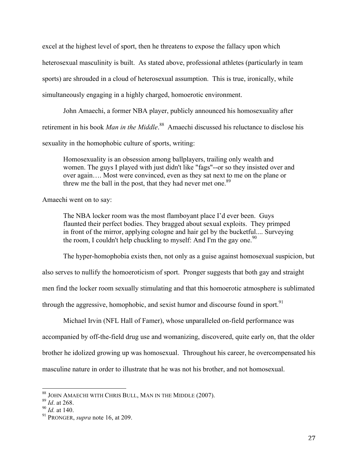excel at the highest level of sport, then he threatens to expose the fallacy upon which heterosexual masculinity is built. As stated above, professional athletes (particularly in team sports) are shrouded in a cloud of heterosexual assumption. This is true, ironically, while simultaneously engaging in a highly charged, homoerotic environment.

John Amaechi, a former NBA player, publicly announced his homosexuality after retirement in his book *Man in the Middle*. 88 Amaechi discussed his reluctance to disclose his sexuality in the homophobic culture of sports, writing:

Homosexuality is an obsession among ballplayers, trailing only wealth and women. The guys I played with just didn't like "fags"--or so they insisted over and over again…. Most were convinced, even as they sat next to me on the plane or threw me the ball in the post, that they had never met one.<sup>89</sup>

Amaechi went on to say:

The NBA locker room was the most flamboyant place I'd ever been. Guys flaunted their perfect bodies. They bragged about sexual exploits. They primped in front of the mirror, applying cologne and hair gel by the bucketful.... Surveying the room, I couldn't help chuckling to myself: And I'm the gay one.<sup>90</sup>

The hyper-homophobia exists then, not only as a guise against homosexual suspicion, but

also serves to nullify the homoeroticism of sport. Pronger suggests that both gay and straight

men find the locker room sexually stimulating and that this homoerotic atmosphere is sublimated

through the aggressive, homophobic, and sexist humor and discourse found in sport. $91$ 

Michael Irvin (NFL Hall of Famer), whose unparalleled on-field performance was accompanied by off-the-field drug use and womanizing, discovered, quite early on, that the older brother he idolized growing up was homosexual. Throughout his career, he overcompensated his masculine nature in order to illustrate that he was not his brother, and not homosexual.

<sup>&</sup>lt;sup>88</sup> JOHN AMAECHI WITH CHRIS BULL, MAN IN THE MIDDLE (2007).

<sup>89</sup> *Id*. at 268.

<sup>90</sup> *Id.* at 140.

<sup>91</sup> PRONGER, *supra* note 16, at 209.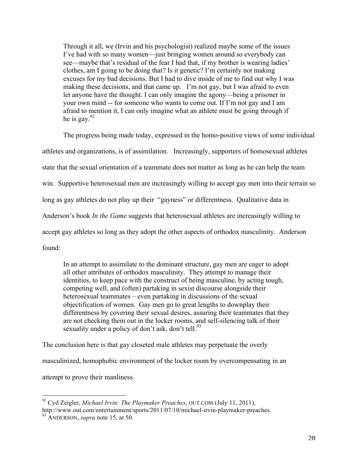Through it all, we (Irvin and his psychologist) realized maybe some of the issues I've had with so many women—just bringing women around so everybody can see—maybe that's residual of the fear I had that, if my brother is wearing ladies' clothes, am I going to be doing that? Is it genetic? I'm certainly not making excuses for my bad decisions. But I had to dive inside of me to find out why I was making these decisions, and that came up. I'm not gay, but I was afraid to even let anyone have the thought. I can only imagine the agony—being a prisoner in your own mind -- for someone who wants to come out. If I'm not gay and I am afraid to mention it, I can only imagine what an athlete must be going through if he is gay.<sup>92</sup>

The progress being made today, expressed in the homo-positive views of some individual athletes and organizations, is of assimilation. Increasingly, supporters of homosexual athletes state that the sexual orientation of a teammate does not matter as long as he can help the team win. Supportive heterosexual men are increasingly willing to accept gay men into their terrain so long as gay athletes do not play up their "gayness" or differentness. Qualitative data in Anderson's book *In the Game* suggests that heterosexual athletes are increasingly willing to accept gay athletes so long as they adopt the other aspects of orthodox masculinity. Anderson found:

In an attempt to assimilate to the dominant structure, gay men are eager to adopt all other attributes of orthodox masculinity. They attempt to manage their identities, to keep pace with the construct of being masculine, by acting tough, competing well, and (often) partaking in sexist discourse alongside their heterosexual teammates – even partaking in discussions of the sexual objectification of women. Gay men go to great lengths to downplay their differentness by covering their sexual desires, assuring their teammates that they are not checking them out in the locker rooms, and self-silencing talk of their sexuality under a policy of don't ask, don't tell.<sup>93</sup>

The conclusion here is that gay closeted male athletes may perpetuate the overly masculinized, homophobic environment of the locker room by overcompensating in an attempt to prove their manliness.

<sup>92</sup> Cyd Zeigler, *Michael Irvin: The Playmaker Preaches*, OUT.COM (July 11, 2011), http://www.out.com/entertainment/sports/2011/07/10/michael-irvin-playmaker-preaches. <sup>93</sup> ANDERSON, *supra* note 15, at 50.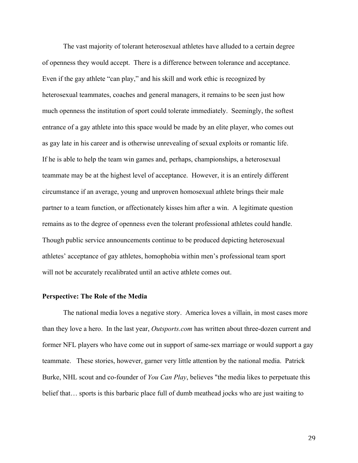The vast majority of tolerant heterosexual athletes have alluded to a certain degree of openness they would accept. There is a difference between tolerance and acceptance. Even if the gay athlete "can play," and his skill and work ethic is recognized by heterosexual teammates, coaches and general managers, it remains to be seen just how much openness the institution of sport could tolerate immediately. Seemingly, the softest entrance of a gay athlete into this space would be made by an elite player, who comes out as gay late in his career and is otherwise unrevealing of sexual exploits or romantic life. If he is able to help the team win games and, perhaps, championships, a heterosexual teammate may be at the highest level of acceptance. However, it is an entirely different circumstance if an average, young and unproven homosexual athlete brings their male partner to a team function, or affectionately kisses him after a win. A legitimate question remains as to the degree of openness even the tolerant professional athletes could handle. Though public service announcements continue to be produced depicting heterosexual athletes' acceptance of gay athletes, homophobia within men's professional team sport will not be accurately recalibrated until an active athlete comes out.

#### **Perspective: The Role of the Media**

The national media loves a negative story. America loves a villain, in most cases more than they love a hero. In the last year, *Outsports.com* has written about three-dozen current and former NFL players who have come out in support of same-sex marriage or would support a gay teammate. These stories, however, garner very little attention by the national media. Patrick Burke, NHL scout and co-founder of *You Can Play*, believes "the media likes to perpetuate this belief that… sports is this barbaric place full of dumb meathead jocks who are just waiting to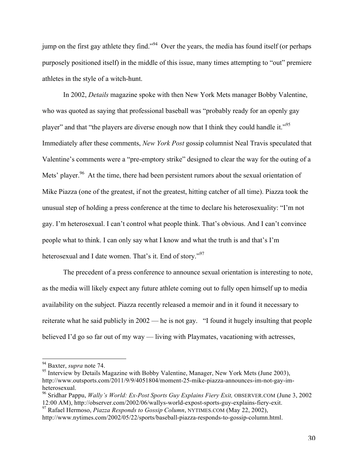jump on the first gay athlete they find.<sup> $294$ </sup> Over the years, the media has found itself (or perhaps purposely positioned itself) in the middle of this issue, many times attempting to "out" premiere athletes in the style of a witch-hunt.

In 2002, *Details* magazine spoke with then New York Mets manager Bobby Valentine, who was quoted as saying that professional baseball was "probably ready for an openly gay player" and that "the players are diverse enough now that I think they could handle it."<sup>95</sup> Immediately after these comments, *New York Post* gossip columnist Neal Travis speculated that Valentine's comments were a "pre-emptory strike" designed to clear the way for the outing of a Mets' player.<sup>96</sup> At the time, there had been persistent rumors about the sexual orientation of Mike Piazza (one of the greatest, if not the greatest, hitting catcher of all time). Piazza took the unusual step of holding a press conference at the time to declare his heterosexuality: "I'm not gay. I'm heterosexual. I can't control what people think. That's obvious. And I can't convince people what to think. I can only say what I know and what the truth is and that's I'm heterosexual and I date women. That's it. End of story."<sup>97</sup>

The precedent of a press conference to announce sexual orientation is interesting to note, as the media will likely expect any future athlete coming out to fully open himself up to media availability on the subject. Piazza recently released a memoir and in it found it necessary to reiterate what he said publicly in 2002 — he is not gay. "I found it hugely insulting that people believed I'd go so far out of my way — living with Playmates, vacationing with actresses,

<sup>&</sup>lt;sup>94</sup> Baxter, *supra* note 74.

<sup>&</sup>lt;sup>95</sup> Interview by Details Magazine with Bobby Valentine, Manager, New York Mets (June 2003), http://www.outsports.com/2011/9/9/4051804/moment-25-mike-piazza-announces-im-not-gay-imheterosexual.<br><sup>96</sup> Sridhar Pappu, *Wally's World: Ex-Post Sports Guy Explains Fiery Exit*, OBSERVER.COM (June 3, 2002)

<sup>12:00</sup> AM), http://observer.com/2002/06/wallys-world-expost-sports-guy-explains-fiery-exit.

<sup>97</sup> Rafael Hermoso, *Piazza Responds to Gossip Column*, NYTIMES.COM (May 22, 2002), http://www.nytimes.com/2002/05/22/sports/baseball-piazza-responds-to-gossip-column.html.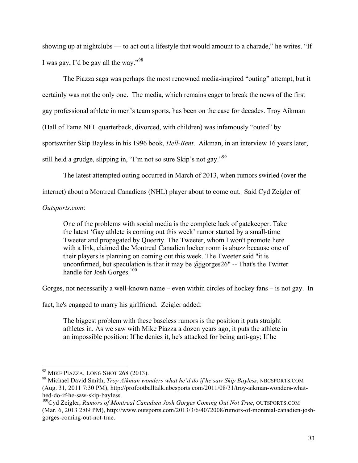showing up at nightclubs — to act out a lifestyle that would amount to a charade," he writes. "If I was gay, I'd be gay all the way."<sup>98</sup>

The Piazza saga was perhaps the most renowned media-inspired "outing" attempt, but it certainly was not the only one. The media, which remains eager to break the news of the first gay professional athlete in men's team sports, has been on the case for decades. Troy Aikman (Hall of Fame NFL quarterback, divorced, with children) was infamously "outed" by sportswriter Skip Bayless in his 1996 book, *Hell-Bent*. Aikman, in an interview 16 years later, still held a grudge, slipping in, "I'm not so sure Skip's not gay."<sup>99</sup>

The latest attempted outing occurred in March of 2013, when rumors swirled (over the

internet) about a Montreal Canadiens (NHL) player about to come out. Said Cyd Zeigler of

# *Outsports.com*:

One of the problems with social media is the complete lack of gatekeeper. Take the latest 'Gay athlete is coming out this week' rumor started by a small-time Tweeter and propagated by Queerty. The Tweeter, whom I won't promote here with a link, claimed the Montreal Canadien locker room is abuzz because one of their players is planning on coming out this week. The Tweeter said "it is unconfirmed, but speculation is that it may be  $@$  jgorges  $26"$  -- That's the Twitter handle for Josh Gorges.<sup>100</sup>

Gorges, not necessarily a well-known name – even within circles of hockey fans – is not gay. In

fact, he's engaged to marry his girlfriend. Zeigler added:

The biggest problem with these baseless rumors is the position it puts straight athletes in. As we saw with Mike Piazza a dozen years ago, it puts the athlete in an impossible position: If he denies it, he's attacked for being anti-gay; If he

<sup>&</sup>lt;sup>98</sup> MIKE PIAZZA, LONG SHOT 268 (2013).

<sup>&</sup>lt;sup>99</sup> Michael David Smith, *Troy Aikman wonders what he'd do if he saw Skip Bayless*, NBCSPORTS.COM (Aug. 31, 2011 7:30 PM), http://profootballtalk.nbcsports.com/2011/08/31/troy-aikman-wonders-whathed-do-if-he-saw-skip-bayless.

<sup>100</sup>Cyd Zeigler, *Rumors of Montreal Canadien Josh Gorges Coming Out Not True*, OUTSPORTS.COM (Mar. 6, 2013 2:09 PM), http://www.outsports.com/2013/3/6/4072008/rumors-of-montreal-canadien-joshgorges-coming-out-not-true.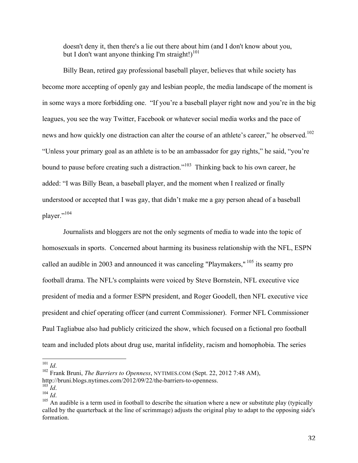doesn't deny it, then there's a lie out there about him (and I don't know about you, but I don't want anyone thinking I'm straight!) $101$ 

Billy Bean, retired gay professional baseball player, believes that while society has become more accepting of openly gay and lesbian people, the media landscape of the moment is in some ways a more forbidding one. "If you're a baseball player right now and you're in the big leagues, you see the way Twitter, Facebook or whatever social media works and the pace of news and how quickly one distraction can alter the course of an athlete's career," he observed.<sup>102</sup> "Unless your primary goal as an athlete is to be an ambassador for gay rights," he said, "you're bound to pause before creating such a distraction."<sup>103</sup> Thinking back to his own career, he added: "I was Billy Bean, a baseball player, and the moment when I realized or finally understood or accepted that I was gay, that didn't make me a gay person ahead of a baseball player."<sup>104</sup>

Journalists and bloggers are not the only segments of media to wade into the topic of homosexuals in sports. Concerned about harming its business relationship with the NFL, ESPN called an audible in 2003 and announced it was canceling "Playmakers," <sup>105</sup> its seamy pro football drama. The NFL's complaints were voiced by Steve Bornstein, NFL executive vice president of media and a former ESPN president, and Roger Goodell, then NFL executive vice president and chief operating officer (and current Commissioner). Former NFL Commissioner Paul Tagliabue also had publicly criticized the show, which focused on a fictional pro football team and included plots about drug use, marital infidelity, racism and homophobia. The series

<sup>&</sup>lt;sup>101</sup> Id.<br><sup>102</sup> Frank Bruni, *The Barriers to Openness*, NYTIMES.COM (Sept. 22, 2012 7:48 AM),

http://bruni.blogs.nytimes.com/2012/09/22/the-barriers-to-openness. $^{103}$   $_{\rm Id}$ 

<sup>104</sup> *Id*.<br><sup>104</sup> *Id*. 105 *Id*. 105 *Id*. 105 An audible is a term used in football to describe the situation where a new or substitute play (typically called by the quarterback at the line of scrimmage) adjusts the original play to adapt to the opposing side's formation.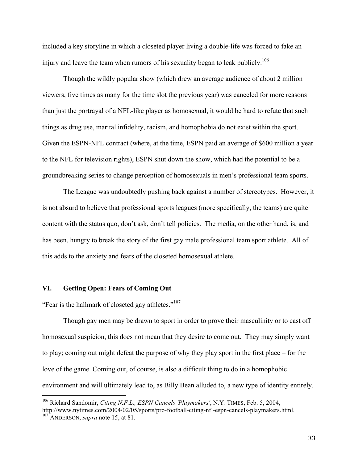included a key storyline in which a closeted player living a double-life was forced to fake an injury and leave the team when rumors of his sexuality began to leak publicly.<sup>106</sup>

Though the wildly popular show (which drew an average audience of about 2 million viewers, five times as many for the time slot the previous year) was canceled for more reasons than just the portrayal of a NFL-like player as homosexual, it would be hard to refute that such things as drug use, marital infidelity, racism, and homophobia do not exist within the sport. Given the ESPN-NFL contract (where, at the time, ESPN paid an average of \$600 million a year to the NFL for television rights), ESPN shut down the show, which had the potential to be a groundbreaking series to change perception of homosexuals in men's professional team sports.

The League was undoubtedly pushing back against a number of stereotypes. However, it is not absurd to believe that professional sports leagues (more specifically, the teams) are quite content with the status quo, don't ask, don't tell policies. The media, on the other hand, is, and has been, hungry to break the story of the first gay male professional team sport athlete. All of this adds to the anxiety and fears of the closeted homosexual athlete.

#### **VI. Getting Open: Fears of Coming Out**

!!!!!!!!!!!!!!!!!!!!!!!!!!!!!!!!!!!!!!!!!!!!!!!!!!!!!!!

"Fear is the hallmark of closeted gay athletes."<sup>107</sup>

Though gay men may be drawn to sport in order to prove their masculinity or to cast off homosexual suspicion, this does not mean that they desire to come out. They may simply want to play; coming out might defeat the purpose of why they play sport in the first place – for the love of the game. Coming out, of course, is also a difficult thing to do in a homophobic environment and will ultimately lead to, as Billy Bean alluded to, a new type of identity entirely.

<sup>106</sup> Richard Sandomir, *Citing N.F.L., ESPN Cancels 'Playmakers'*, N.Y. TIMES, Feb. 5, 2004, http://www.nytimes.com/2004/02/05/sports/pro-football-citing-nfl-espn-cancels-playmakers.html. <sup>107</sup> ANDERSON, *supra* note 15, at 81.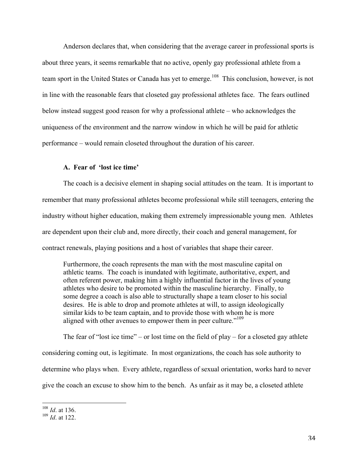Anderson declares that, when considering that the average career in professional sports is about three years, it seems remarkable that no active, openly gay professional athlete from a team sport in the United States or Canada has yet to emerge.<sup>108</sup> This conclusion, however, is not in line with the reasonable fears that closeted gay professional athletes face. The fears outlined below instead suggest good reason for why a professional athlete – who acknowledges the uniqueness of the environment and the narrow window in which he will be paid for athletic performance – would remain closeted throughout the duration of his career.

# **A. Fear of 'lost ice time'**

The coach is a decisive element in shaping social attitudes on the team. It is important to remember that many professional athletes become professional while still teenagers, entering the industry without higher education, making them extremely impressionable young men. Athletes are dependent upon their club and, more directly, their coach and general management, for contract renewals, playing positions and a host of variables that shape their career.

Furthermore, the coach represents the man with the most masculine capital on athletic teams. The coach is inundated with legitimate, authoritative, expert, and often referent power, making him a highly influential factor in the lives of young athletes who desire to be promoted within the masculine hierarchy. Finally, to some degree a coach is also able to structurally shape a team closer to his social desires. He is able to drop and promote athletes at will, to assign ideologically similar kids to be team captain, and to provide those with whom he is more aligned with other avenues to empower them in peer culture."<sup>109</sup>

The fear of "lost ice time" – or lost time on the field of play – for a closeted gay athlete considering coming out, is legitimate. In most organizations, the coach has sole authority to determine who plays when. Every athlete, regardless of sexual orientation, works hard to never give the coach an excuse to show him to the bench. As unfair as it may be, a closeted athlete

<sup>108</sup> *Id*. at 136.

<sup>109</sup> *Id*. at 122.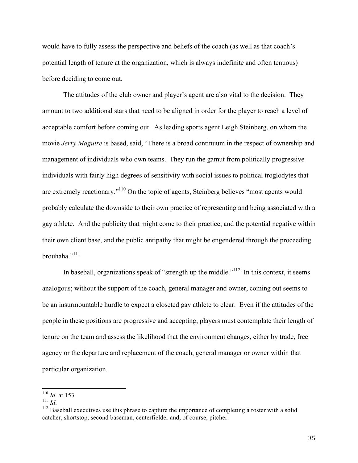would have to fully assess the perspective and beliefs of the coach (as well as that coach's potential length of tenure at the organization, which is always indefinite and often tenuous) before deciding to come out.

The attitudes of the club owner and player's agent are also vital to the decision. They amount to two additional stars that need to be aligned in order for the player to reach a level of acceptable comfort before coming out. As leading sports agent Leigh Steinberg, on whom the movie *Jerry Maguire* is based, said, "There is a broad continuum in the respect of ownership and management of individuals who own teams. They run the gamut from politically progressive individuals with fairly high degrees of sensitivity with social issues to political troglodytes that are extremely reactionary."<sup>110</sup> On the topic of agents, Steinberg believes "most agents would probably calculate the downside to their own practice of representing and being associated with a gay athlete. And the publicity that might come to their practice, and the potential negative within their own client base, and the public antipathy that might be engendered through the proceeding brouhaha."<sup>111</sup>

In baseball, organizations speak of "strength up the middle."<sup> $112$ </sup> In this context, it seems analogous; without the support of the coach, general manager and owner, coming out seems to be an insurmountable hurdle to expect a closeted gay athlete to clear. Even if the attitudes of the people in these positions are progressive and accepting, players must contemplate their length of tenure on the team and assess the likelihood that the environment changes, either by trade, free agency or the departure and replacement of the coach, general manager or owner within that particular organization.

 $\frac{^{110}}{^{111}}$  *Id.* at 153.

<sup>&</sup>lt;sup>112</sup> Baseball executives use this phrase to capture the importance of completing a roster with a solid catcher, shortstop, second baseman, centerfielder and, of course, pitcher.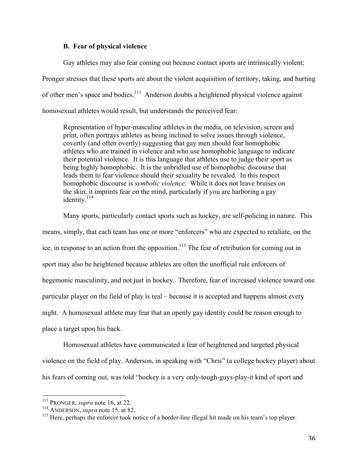#### **B. Fear of physical violence**

Gay athletes may also fear coming out because contact sports are intrinsically violent; Pronger stresses that these sports are about the violent acquisition of territory, taking, and hurting of other men's space and bodies.<sup>113</sup> Anderson doubts a heightened physical violence against homosexual athletes would result, but understands the perceived fear:

Representation of hyper-masculine athletes in the media, on television, screen and print, often portrays athletes as being inclined to solve issues through violence, covertly (and often overtly) suggesting that gay men should fear homophobic athletes who are trained in violence and who use homophobic language to indicate their potential violence. It is this language that athletes use to judge their sport as being highly homophobic. It is the unbridled use of homophobic discourse that leads them to fear violence should their sexuality be revealed. In this respect homophobic discourse is *symbolic violence*. While it does not leave bruises on the skin, it imprints fear on the mind, particularly if you are harboring a gay identity.<sup>114</sup>

Many sports, particularly contact sports such as hockey, are self-policing in nature. This means, simply, that each team has one or more "enforcers" who are expected to retaliate, on the ice, in response to an action from the opposition.<sup>115</sup> The fear of retribution for coming out in sport may also be heightened because athletes are often the unofficial rule enforcers of hegemonic masculinity, and not just in hockey. Therefore, fear of increased violence toward one particular player on the field of play is real – because it is accepted and happens almost every night. A homosexual athlete may fear that an openly gay identity could be reason enough to place a target upon his back.

Homosexual athletes have communicated a fear of heightened and targeted physical violence on the field of play. Anderson, in speaking with "Chris" (a college hockey player) about his fears of coming out, was told "hockey is a very only-tough-guys-play-it kind of sport and

<sup>!!!!!!!!!!!!!!!!!!!!!!!!!!!!!!!!!!!!!!!!!!!!!!!!!!!!!!!</sup> <sup>113</sup> PRONGER, *supra* note 16, at 22.

<sup>114</sup> ANDERSON, *supra* note 15, at 82.

<sup>&</sup>lt;sup>115</sup> Here, perhaps the enforcer took notice of a border-line illegal hit made on his team's top player.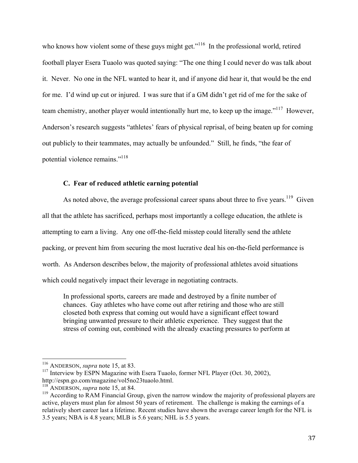who knows how violent some of these guys might get."<sup>116</sup> In the professional world, retired football player Esera Tuaolo was quoted saying: "The one thing I could never do was talk about it. Never. No one in the NFL wanted to hear it, and if anyone did hear it, that would be the end for me. I'd wind up cut or injured. I was sure that if a GM didn't get rid of me for the sake of team chemistry, another player would intentionally hurt me, to keep up the image."<sup>117</sup> However, Anderson's research suggests "athletes' fears of physical reprisal, of being beaten up for coming out publicly to their teammates, may actually be unfounded." Still, he finds, "the fear of potential violence remains."<sup>118</sup>

# **C. Fear of reduced athletic earning potential**

As noted above, the average professional career spans about three to five years.<sup>119</sup> Given all that the athlete has sacrificed, perhaps most importantly a college education, the athlete is attempting to earn a living. Any one off-the-field misstep could literally send the athlete packing, or prevent him from securing the most lucrative deal his on-the-field performance is worth. As Anderson describes below, the majority of professional athletes avoid situations which could negatively impact their leverage in negotiating contracts.

In professional sports, careers are made and destroyed by a finite number of chances. Gay athletes who have come out after retiring and those who are still closeted both express that coming out would have a significant effect toward bringing unwanted pressure to their athletic experience. They suggest that the stress of coming out, combined with the already exacting pressures to perform at

<sup>&</sup>lt;sup>116</sup> ANDERSON, *supra* note 15, at 83.

 $117$  Interview by ESPN Magazine with Esera Tuaolo, former NFL Player (Oct. 30, 2002), http://espn.go.com/magazine/vol5no23tuaolo.html. <sup>118</sup> ANDERSON, *supra* note 15, at 84.

 $119$  According to RAM Financial Group, given the narrow window the majority of professional players are active, players must plan for almost 50 years of retirement. The challenge is making the earnings of a relatively short career last a lifetime. Recent studies have shown the average career length for the NFL is 3.5 years; NBA is 4.8 years; MLB is 5.6 years; NHL is 5.5 years.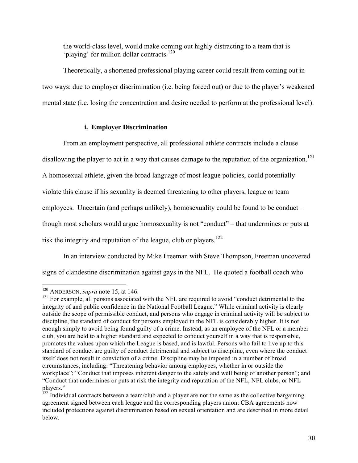the world-class level, would make coming out highly distracting to a team that is 'playing' for million dollar contracts.<sup>120</sup>

Theoretically, a shortened professional playing career could result from coming out in two ways: due to employer discrimination (i.e. being forced out) or due to the player's weakened mental state (i.e. losing the concentration and desire needed to perform at the professional level).

# **i. Employer Discrimination**

From an employment perspective, all professional athlete contracts include a clause disallowing the player to act in a way that causes damage to the reputation of the organization.<sup>121</sup> A homosexual athlete, given the broad language of most league policies, could potentially violate this clause if his sexuality is deemed threatening to other players, league or team employees. Uncertain (and perhaps unlikely), homosexuality could be found to be conduct – though most scholars would argue homosexuality is not "conduct" – that undermines or puts at risk the integrity and reputation of the league, club or players.<sup>122</sup>

In an interview conducted by Mike Freeman with Steve Thompson, Freeman uncovered signs of clandestine discrimination against gays in the NFL. He quoted a football coach who

<sup>&</sup>lt;sup>120</sup> ANDERSON, *supra* note 15, at 146.

<sup>&</sup>lt;sup>121</sup> For example, all persons associated with the NFL are required to avoid "conduct detrimental to the integrity of and public confidence in the National Football League." While criminal activity is clearly outside the scope of permissible conduct, and persons who engage in criminal activity will be subject to discipline, the standard of conduct for persons employed in the NFL is considerably higher. It is not enough simply to avoid being found guilty of a crime. Instead, as an employee of the NFL or a member club, you are held to a higher standard and expected to conduct yourself in a way that is responsible, promotes the values upon which the League is based, and is lawful. Persons who fail to live up to this standard of conduct are guilty of conduct detrimental and subject to discipline, even where the conduct itself does not result in conviction of a crime. Discipline may be imposed in a number of broad circumstances, including: "Threatening behavior among employees, whether in or outside the workplace"; "Conduct that imposes inherent danger to the safety and well being of another person"; and "Conduct that undermines or puts at risk the integrity and reputation of the NFL, NFL clubs, or NFL players."

 $122$  Individual contracts between a team/club and a player are not the same as the collective bargaining agreement signed between each league and the corresponding players union; CBA agreements now included protections against discrimination based on sexual orientation and are described in more detail below.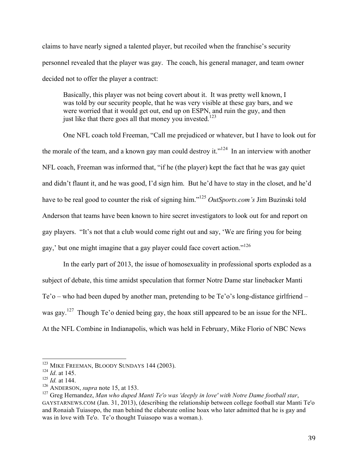claims to have nearly signed a talented player, but recoiled when the franchise's security personnel revealed that the player was gay. The coach, his general manager, and team owner decided not to offer the player a contract:

Basically, this player was not being covert about it. It was pretty well known, I was told by our security people, that he was very visible at these gay bars, and we were worried that it would get out, end up on ESPN, and ruin the guy, and then just like that there goes all that money you invested.<sup>123</sup>

One NFL coach told Freeman, "Call me prejudiced or whatever, but I have to look out for the morale of the team, and a known gay man could destroy it."<sup>124</sup> In an interview with another NFL coach, Freeman was informed that, "if he (the player) kept the fact that he was gay quiet and didn't flaunt it, and he was good, I'd sign him. But he'd have to stay in the closet, and he'd have to be real good to counter the risk of signing him." <sup>125</sup> *OutSports.com's* Jim Buzinski told Anderson that teams have been known to hire secret investigators to look out for and report on gay players. "It's not that a club would come right out and say, 'We are firing you for being gay,' but one might imagine that a gay player could face covert action."<sup>126</sup>

In the early part of 2013, the issue of homosexuality in professional sports exploded as a subject of debate, this time amidst speculation that former Notre Dame star linebacker Manti Te'o – who had been duped by another man, pretending to be Te'o's long-distance girlfriend – was gay.<sup>127</sup> Though Te'o denied being gay, the hoax still appeared to be an issue for the NFL. At the NFL Combine in Indianapolis, which was held in February, Mike Florio of NBC News

<sup>&</sup>lt;sup>123</sup> MIKE FREEMAN, BLOODY SUNDAYS 144 (2003).

<sup>124</sup> *Id*. at 145.

<sup>125</sup> *Id.* at 144.

<sup>126</sup> ANDERSON, *supra* note 15, at 153.

<sup>127</sup> Greg Hernandez, *Man who duped Manti Te'o was 'deeply in love' with Notre Dame football star*, GAYSTARNEWS.COM (Jan. 31, 2013), (describing the relationship between college football star Manti Te'o and Ronaiah Tuiasopo, the man behind the elaborate online hoax who later admitted that he is gay and was in love with Te'o. Te'o thought Tuiasopo was a woman.).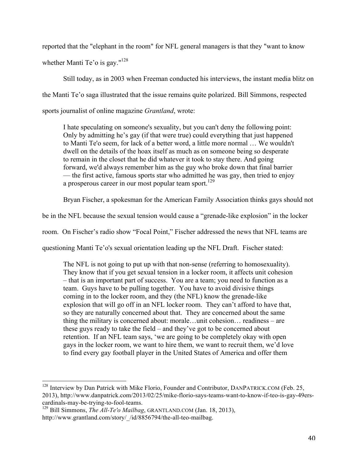reported that the "elephant in the room" for NFL general managers is that they "want to know

whether Manti Te'o is gay." $128$ 

Still today, as in 2003 when Freeman conducted his interviews, the instant media blitz on the Manti Te'o saga illustrated that the issue remains quite polarized. Bill Simmons, respected sports journalist of online magazine *Grantland*, wrote:

I hate speculating on someone's sexuality, but you can't deny the following point: Only by admitting he's gay (if that were true) could everything that just happened to Manti Te'o seem, for lack of a better word, a little more normal … We wouldn't dwell on the details of the hoax itself as much as on someone being so desperate to remain in the closet that he did whatever it took to stay there. And going forward, we'd always remember him as the guy who broke down that final barrier — the first active, famous sports star who admitted he was gay, then tried to enjoy a prosperous career in our most popular team sport.<sup>129</sup>

Bryan Fischer, a spokesman for the American Family Association thinks gays should not

be in the NFL because the sexual tension would cause a "grenade-like explosion" in the locker

room. On Fischer's radio show "Focal Point," Fischer addressed the news that NFL teams are

questioning Manti Te'o's sexual orientation leading up the NFL Draft. Fischer stated:

The NFL is not going to put up with that non-sense (referring to homosexuality). They know that if you get sexual tension in a locker room, it affects unit cohesion – that is an important part of success. You are a team; you need to function as a team. Guys have to be pulling together. You have to avoid divisive things coming in to the locker room, and they (the NFL) know the grenade-like explosion that will go off in an NFL locker room. They can't afford to have that, so they are naturally concerned about that. They are concerned about the same thing the military is concerned about: morale…unit cohesion… readiness – are these guys ready to take the field – and they've got to be concerned about retention. If an NFL team says, 'we are going to be completely okay with open gays in the locker room, we want to hire them, we want to recruit them, we'd love to find every gay football player in the United States of America and offer them

<sup>&</sup>lt;sup>128</sup> Interview by Dan Patrick with Mike Florio, Founder and Contributor, DANPATRICK.COM (Feb. 25, 2013), http://www.danpatrick.com/2013/02/25/mike-florio-says-teams-want-to-know-if-teo-is-gay-49erscardinals-may-be-trying-to-fool-teams.

<sup>&</sup>lt;sup>129</sup> Bill Simmons, *The All-Te'o Mailbag*, GRANTLAND.COM (Jan. 18, 2013), http://www.grantland.com/story/\_/id/8856794/the-all-teo-mailbag.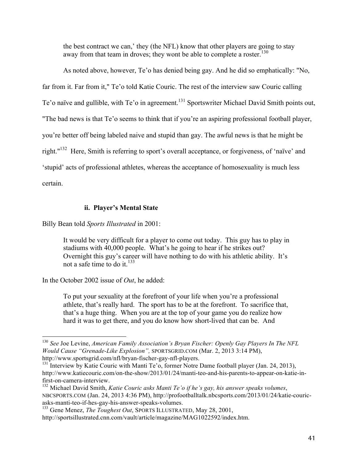the best contract we can,' they (the NFL) know that other players are going to stay away from that team in droves; they wont be able to complete a roster.<sup>130</sup>

As noted above, however, Te'o has denied being gay. And he did so emphatically: "No, far from it. Far from it," Te'o told Katie Couric. The rest of the interview saw Couric calling Te'o naïve and gullible, with Te'o in agreement.<sup>131</sup> Sportswriter Michael David Smith points out, "The bad news is that Te'o seems to think that if you're an aspiring professional football player, you're better off being labeled naive and stupid than gay. The awful news is that he might be right."<sup>132</sup> Here, Smith is referring to sport's overall acceptance, or forgiveness, of 'naïve' and 'stupid' acts of professional athletes, whereas the acceptance of homosexuality is much less certain.

# **ii. Player's Mental State**

Billy Bean told *Sports Illustrated* in 2001:

It would be very difficult for a player to come out today. This guy has to play in stadiums with 40,000 people. What's he going to hear if he strikes out? Overnight this guy's career will have nothing to do with his athletic ability. It's not a safe time to do it. 133

In the October 2002 issue of *Out*, he added:

To put your sexuality at the forefront of your life when you're a professional athlete, that's really hard. The sport has to be at the forefront. To sacrifice that, that's a huge thing. When you are at the top of your game you do realize how hard it was to get there, and you do know how short-lived that can be. And

<sup>&</sup>lt;sup>130</sup> See Joe Levine, *American Family Association's Bryan Fischer: Openly Gay Players In The NFL Would Cause "Grenade-Like Explosion",* SPORTSGRID.COM (Mar. 2, 2013 3:14 PM), http://www.sportsgrid.com/nfl/bryan-fischer-gay-nfl-players.

<sup>&</sup>lt;sup>131</sup> Interview by Katie Couric with Manti Te'o, former Notre Dame football player (Jan. 24, 2013), http://www.katiecouric.com/on-the-show/2013/01/24/manti-teo-and-his-parents-to-appear-on-katie-infirst-on-camera-interview.

<sup>132</sup> Michael David Smith, *Katie Couric asks Manti Te'o if he's gay, his answer speaks volumes*, NBCSPORTS.COM (Jan. 24, 2013 4:36 PM), http://profootballtalk.nbcsports.com/2013/01/24/katie-couricasks-manti-teo-if-hes-gay-his-answer-speaks-volumes.

<sup>133</sup> Gene Menez, *The Toughest Out*, SPORTS ILLUSTRATED, May 28, 2001, http://sportsillustrated.cnn.com/vault/article/magazine/MAG1022592/index.htm.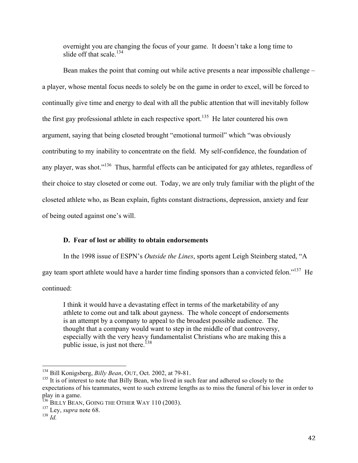overnight you are changing the focus of your game. It doesn't take a long time to slide off that scale.<sup>134</sup>

Bean makes the point that coming out while active presents a near impossible challenge – a player, whose mental focus needs to solely be on the game in order to excel, will be forced to continually give time and energy to deal with all the public attention that will inevitably follow the first gay professional athlete in each respective sport.<sup>135</sup> He later countered his own argument, saying that being closeted brought "emotional turmoil" which "was obviously contributing to my inability to concentrate on the field. My self-confidence, the foundation of any player, was shot."<sup>136</sup> Thus, harmful effects can be anticipated for gay athletes, regardless of their choice to stay closeted or come out. Today, we are only truly familiar with the plight of the closeted athlete who, as Bean explain, fights constant distractions, depression, anxiety and fear of being outed against one's will.

### **D. Fear of lost or ability to obtain endorsements**

In the 1998 issue of ESPN's *Outside the Lines*, sports agent Leigh Steinberg stated, "A gay team sport athlete would have a harder time finding sponsors than a convicted felon."<sup>137</sup> He continued:

I think it would have a devastating effect in terms of the marketability of any athlete to come out and talk about gayness. The whole concept of endorsements is an attempt by a company to appeal to the broadest possible audience. The thought that a company would want to step in the middle of that controversy, especially with the very heavy fundamentalist Christians who are making this a public issue, is just not there.<sup>138</sup>

<sup>134</sup> Bill Konigsberg, *Billy Bean*, OUT, Oct. 2002, at 79-81.

<sup>&</sup>lt;sup>135</sup> It is of interest to note that Billy Bean, who lived in such fear and adhered so closely to the expectations of his teammates, went to such extreme lengths as to miss the funeral of his lover in order to play in a game.

 $^{136}$  BILLY BEAN, GOING THE OTHER WAY 110 (2003).

<sup>137</sup> Ley, *supra* note 68.

<sup>138</sup> *Id.*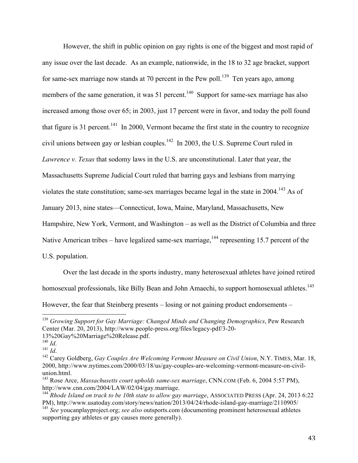However, the shift in public opinion on gay rights is one of the biggest and most rapid of any issue over the last decade. As an example, nationwide, in the 18 to 32 age bracket, support for same-sex marriage now stands at 70 percent in the Pew poll.<sup>139</sup> Ten years ago, among members of the same generation, it was 51 percent.<sup>140</sup> Support for same-sex marriage has also increased among those over 65; in 2003, just 17 percent were in favor, and today the poll found that figure is 31 percent.<sup>141</sup> In 2000, Vermont became the first state in the country to recognize civil unions between gay or lesbian couples. $142$  In 2003, the U.S. Supreme Court ruled in *Lawrence v. Texas* that sodomy laws in the U.S. are unconstitutional. Later that year, the Massachusetts Supreme Judicial Court ruled that barring gays and lesbians from marrying violates the state constitution; same-sex marriages became legal in the state in 2004.<sup>143</sup> As of January 2013, nine states—Connecticut, Iowa, Maine, Maryland, Massachusetts, New Hampshire, New York, Vermont, and Washington – as well as the District of Columbia and three Native American tribes – have legalized same-sex marriage,  $144$  representing 15.7 percent of the U.S. population.

Over the last decade in the sports industry, many heterosexual athletes have joined retired homosexual professionals, like Billy Bean and John Amaechi, to support homosexual athletes.<sup>145</sup> However, the fear that Steinberg presents – losing or not gaining product endorsements –

<sup>&</sup>lt;sup>139</sup> Growing Support for Gay Marriage: Changed Minds and Changing Demographics, Pew Research Center (Mar. 20, 2013), http://www.people-press.org/files/legacy-pdf/3-20-<br>13%20Gay%20Marriage%20Release.pdf.<br><sup>140</sup> Id.<br><sup>141</sup> Id.

<sup>&</sup>lt;sup>142</sup> Carey Goldberg, *Gay Couples Are Welcoming Vermont Measure on Civil Union*, N.Y. TIMES, Mar. 18, 2000, http://www.nytimes.com/2000/03/18/us/gay-couples-are-welcoming-vermont-measure-on-civilunion.html.<br><sup>143</sup> Rose Arce, *Massachusetts court upholds same-sex marriage*, CNN.COM (Feb. 6, 2004 5:57 PM),

http://www.cnn.com/2004/LAW/02/04/gay.marriage.

<sup>&</sup>lt;sup>144</sup> *Rhode Island on track to be 10th state to allow gay marriage*, ASSOCIATED PRESS (Apr. 24, 2013 6:22 PM), http://www.usatoday.com/story/news/nation/2013/04/24/rhode-island-gay-marriage/2110905/

<sup>145</sup> *See* youcanplayproject.org; *see also* outsports.com (documenting prominent heterosexual athletes supporting gay athletes or gay causes more generally).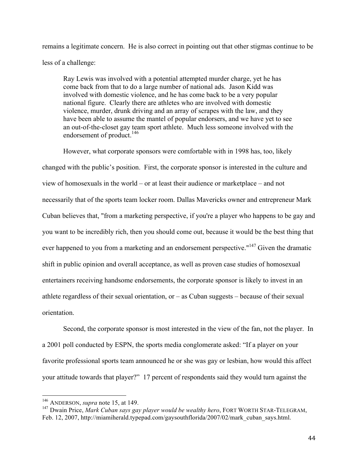remains a legitimate concern. He is also correct in pointing out that other stigmas continue to be less of a challenge:

Ray Lewis was involved with a potential attempted murder charge, yet he has come back from that to do a large number of national ads. Jason Kidd was involved with domestic violence, and he has come back to be a very popular national figure. Clearly there are athletes who are involved with domestic violence, murder, drunk driving and an array of scrapes with the law, and they have been able to assume the mantel of popular endorsers, and we have yet to see an out-of-the-closet gay team sport athlete. Much less someone involved with the endorsement of product. 146

However, what corporate sponsors were comfortable with in 1998 has, too, likely changed with the public's position. First, the corporate sponsor is interested in the culture and view of homosexuals in the world – or at least their audience or marketplace – and not necessarily that of the sports team locker room. Dallas Mavericks owner and entrepreneur Mark Cuban believes that, "from a marketing perspective, if you're a player who happens to be gay and you want to be incredibly rich, then you should come out, because it would be the best thing that ever happened to you from a marketing and an endorsement perspective."<sup>147</sup> Given the dramatic shift in public opinion and overall acceptance, as well as proven case studies of homosexual entertainers receiving handsome endorsements, the corporate sponsor is likely to invest in an athlete regardless of their sexual orientation, or – as Cuban suggests – because of their sexual orientation.

Second, the corporate sponsor is most interested in the view of the fan, not the player. In a 2001 poll conducted by ESPN, the sports media conglomerate asked: "If a player on your favorite professional sports team announced he or she was gay or lesbian, how would this affect your attitude towards that player?" 17 percent of respondents said they would turn against the

<sup>146</sup> ANDERSON, *supra* note 15, at 149.

<sup>&</sup>lt;sup>147</sup> Dwain Price, *Mark Cuban says gay player would be wealthy hero*, FORT WORTH STAR-TELEGRAM, Feb. 12, 2007, http://miamiherald.typepad.com/gaysouthflorida/2007/02/mark\_cuban\_says.html.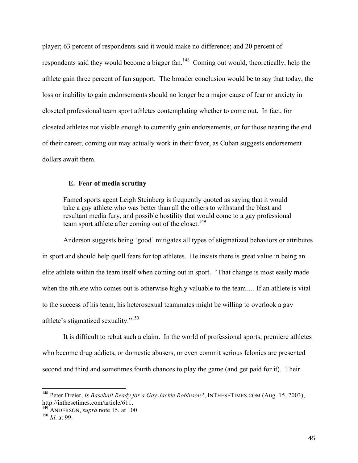player; 63 percent of respondents said it would make no difference; and 20 percent of respondents said they would become a bigger fan.<sup>148</sup> Coming out would, theoretically, help the athlete gain three percent of fan support. The broader conclusion would be to say that today, the loss or inability to gain endorsements should no longer be a major cause of fear or anxiety in closeted professional team sport athletes contemplating whether to come out. In fact, for closeted athletes not visible enough to currently gain endorsements, or for those nearing the end of their career, coming out may actually work in their favor, as Cuban suggests endorsement dollars await them.

#### **E. Fear of media scrutiny**

Famed sports agent Leigh Steinberg is frequently quoted as saying that it would take a gay athlete who was better than all the others to withstand the blast and resultant media fury, and possible hostility that would come to a gay professional team sport athlete after coming out of the closet. 149

Anderson suggests being 'good' mitigates all types of stigmatized behaviors or attributes in sport and should help quell fears for top athletes. He insists there is great value in being an elite athlete within the team itself when coming out in sport. "That change is most easily made when the athlete who comes out is otherwise highly valuable to the team…. If an athlete is vital to the success of his team, his heterosexual teammates might be willing to overlook a gay athlete's stigmatized sexuality."<sup>150</sup>

It is difficult to rebut such a claim. In the world of professional sports, premiere athletes who become drug addicts, or domestic abusers, or even commit serious felonies are presented second and third and sometimes fourth chances to play the game (and get paid for it). Their

<sup>&</sup>lt;sup>148</sup> Peter Dreier, *Is Baseball Ready for a Gay Jackie Robinson?*, INTHESETIMES.COM (Aug. 15, 2003), http://inthesetimes.com/article/611.

<sup>149</sup> ANDERSON, *supra* note 15, at 100.

<sup>150</sup> *Id*. at 99.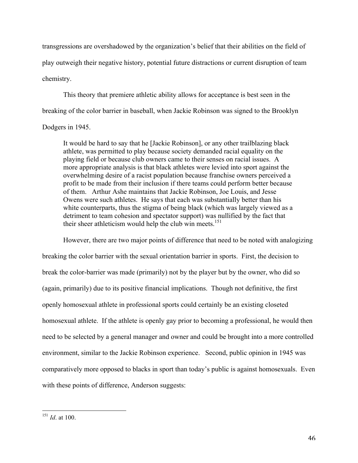transgressions are overshadowed by the organization's belief that their abilities on the field of play outweigh their negative history, potential future distractions or current disruption of team chemistry.

This theory that premiere athletic ability allows for acceptance is best seen in the breaking of the color barrier in baseball, when Jackie Robinson was signed to the Brooklyn

Dodgers in 1945.

It would be hard to say that he [Jackie Robinson], or any other trailblazing black athlete, was permitted to play because society demanded racial equality on the playing field or because club owners came to their senses on racial issues. A more appropriate analysis is that black athletes were levied into sport against the overwhelming desire of a racist population because franchise owners perceived a profit to be made from their inclusion if there teams could perform better because of them. Arthur Ashe maintains that Jackie Robinson, Joe Louis, and Jesse Owens were such athletes. He says that each was substantially better than his white counterparts, thus the stigma of being black (which was largely viewed as a detriment to team cohesion and spectator support) was nullified by the fact that their sheer athleticism would help the club win meets. 151

However, there are two major points of difference that need to be noted with analogizing breaking the color barrier with the sexual orientation barrier in sports. First, the decision to break the color-barrier was made (primarily) not by the player but by the owner, who did so (again, primarily) due to its positive financial implications. Though not definitive, the first openly homosexual athlete in professional sports could certainly be an existing closeted homosexual athlete. If the athlete is openly gay prior to becoming a professional, he would then need to be selected by a general manager and owner and could be brought into a more controlled environment, similar to the Jackie Robinson experience. Second, public opinion in 1945 was comparatively more opposed to blacks in sport than today's public is against homosexuals. Even with these points of difference, Anderson suggests:

 $151$  *Id.* at 100.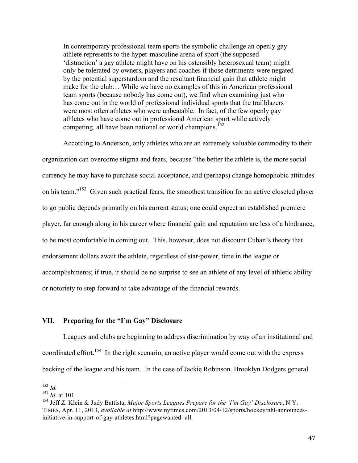In contemporary professional team sports the symbolic challenge an openly gay athlete represents to the hyper-masculine arena of sport (the supposed 'distraction' a gay athlete might have on his ostensibly heterosexual team) might only be tolerated by owners, players and coaches if those detriments were negated by the potential superstardom and the resultant financial gain that athlete might make for the club… While we have no examples of this in American professional team sports (because nobody has come out), we find when examining just who has come out in the world of professional individual sports that the trailblazers were most often athletes who were unbeatable. In fact, of the few openly gay athletes who have come out in professional American sport while actively competing, all have been national or world champions.<sup>152</sup>

According to Anderson, only athletes who are an extremely valuable commodity to their organization can overcome stigma and fears, because "the better the athlete is, the more social currency he may have to purchase social acceptance, and (perhaps) change homophobic attitudes on his team."<sup>153</sup> Given such practical fears, the smoothest transition for an active closeted player to go public depends primarily on his current status; one could expect an established premiere player, far enough along in his career where financial gain and reputation are less of a hindrance, to be most comfortable in coming out. This, however, does not discount Cuban's theory that endorsement dollars await the athlete, regardless of star-power, time in the league or accomplishments; if true, it should be no surprise to see an athlete of any level of athletic ability or notoriety to step forward to take advantage of the financial rewards.

#### **VII. Preparing for the "I'm Gay" Disclosure**

Leagues and clubs are beginning to address discrimination by way of an institutional and coordinated effort.<sup>154</sup> In the right scenario, an active player would come out with the express backing of the league and his team. In the case of Jackie Robinson. Brooklyn Dodgers general

 $152$  *Id.* 

<sup>153</sup> *Id*. at 101.

<sup>154</sup> Jeff Z. Klein & Judy Battista, *Major Sports Leagues Prepare for the 'I'm Gay' Disclosure*, N.Y. TIMES, Apr. 11, 2013, *available at* http://www.nytimes.com/2013/04/12/sports/hockey/nhl-announcesinitiative-in-support-of-gay-athletes.html?pagewanted=all.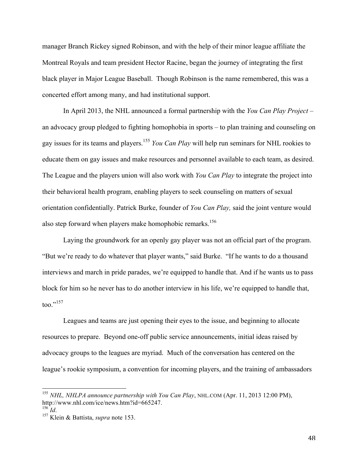manager Branch Rickey signed Robinson, and with the help of their minor league affiliate the Montreal Royals and team president Hector Racine, began the journey of integrating the first black player in Major League Baseball. Though Robinson is the name remembered, this was a concerted effort among many, and had institutional support.

In April 2013, the NHL announced a formal partnership with the *You Can Play Project* – an advocacy group pledged to fighting homophobia in sports – to plan training and counseling on gay issues for its teams and players. <sup>155</sup> *You Can Play* will help run seminars for NHL rookies to educate them on gay issues and make resources and personnel available to each team, as desired. The League and the players union will also work with *You Can Play* to integrate the project into their behavioral health program, enabling players to seek counseling on matters of sexual orientation confidentially. Patrick Burke, founder of *You Can Play,* said the joint venture would also step forward when players make homophobic remarks.<sup>156</sup>

Laying the groundwork for an openly gay player was not an official part of the program. "But we're ready to do whatever that player wants," said Burke. "If he wants to do a thousand interviews and march in pride parades, we're equipped to handle that. And if he wants us to pass block for him so he never has to do another interview in his life, we're equipped to handle that, too." 157

Leagues and teams are just opening their eyes to the issue, and beginning to allocate resources to prepare. Beyond one-off public service announcements, initial ideas raised by advocacy groups to the leagues are myriad. Much of the conversation has centered on the league's rookie symposium, a convention for incoming players, and the training of ambassadors

<sup>&</sup>lt;sup>155</sup> *NHL, NHLPA announce partnership with You Can Play*, NHL.COM (Apr. 11, 2013 12:00 PM), http://www.nhl.com/ice/news.htm?id=665247.

http://www.nhl.com/ice/news.htm<br><sup>156</sup> *Id.* 157 Klein & Battista, *supra* note 153.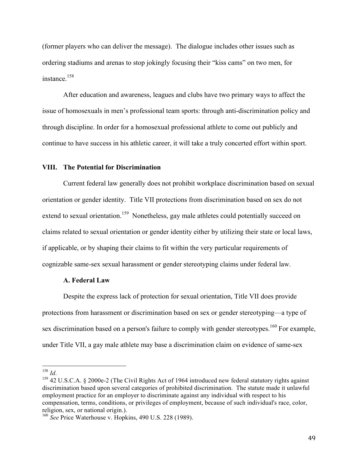(former players who can deliver the message). The dialogue includes other issues such as ordering stadiums and arenas to stop jokingly focusing their "kiss cams" on two men, for instance. 158

After education and awareness, leagues and clubs have two primary ways to affect the issue of homosexuals in men's professional team sports: through anti-discrimination policy and through discipline. In order for a homosexual professional athlete to come out publicly and continue to have success in his athletic career, it will take a truly concerted effort within sport.

#### **VIII. The Potential for Discrimination**

Current federal law generally does not prohibit workplace discrimination based on sexual orientation or gender identity. Title VII protections from discrimination based on sex do not extend to sexual orientation.<sup>159</sup> Nonetheless, gay male athletes could potentially succeed on claims related to sexual orientation or gender identity either by utilizing their state or local laws, if applicable, or by shaping their claims to fit within the very particular requirements of cognizable same-sex sexual harassment or gender stereotyping claims under federal law.

#### **A. Federal Law**

!!!!!!!!!!!!!!!!!!!!!!!!!!!!!!!!!!!!!!!!!!!!!!!!!!!!!!!

Despite the express lack of protection for sexual orientation, Title VII does provide protections from harassment or discrimination based on sex or gender stereotyping—a type of sex discrimination based on a person's failure to comply with gender stereotypes.<sup>160</sup> For example, under Title VII, a gay male athlete may base a discrimination claim on evidence of same-sex

<sup>&</sup>lt;sup>158</sup> *Id.* 159 42 U.S.C.A. § 2000e-2 (The Civil Rights Act of 1964 introduced new federal statutory rights against discrimination based upon several categories of prohibited discrimination. The statute made it unlawful employment practice for an employer to discriminate against any individual with respect to his compensation, terms, conditions, or privileges of employment, because of such individual's race, color, religion, sex, or national origin.).

<sup>160</sup> *See* Price Waterhouse v. Hopkins, 490 U.S. 228 (1989).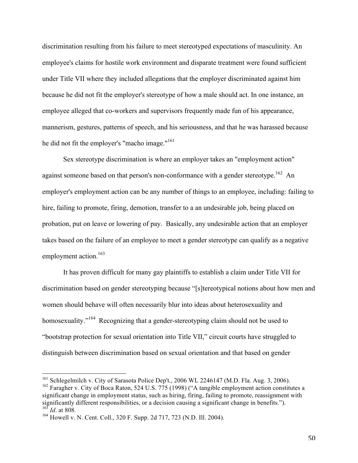discrimination resulting from his failure to meet stereotyped expectations of masculinity. An employee's claims for hostile work environment and disparate treatment were found sufficient under Title VII where they included allegations that the employer discriminated against him because he did not fit the employer's stereotype of how a male should act. In one instance, an employee alleged that co-workers and supervisors frequently made fun of his appearance, mannerism, gestures, patterns of speech, and his seriousness, and that he was harassed because he did not fit the employer's "macho image."<sup>161</sup>

Sex stereotype discrimination is where an employer takes an "employment action" against someone based on that person's non-conformance with a gender stereotype.<sup>162</sup> An employer's employment action can be any number of things to an employee, including: failing to hire, failing to promote, firing, demotion, transfer to a an undesirable job, being placed on probation, put on leave or lowering of pay. Basically, any undesirable action that an employer takes based on the failure of an employee to meet a gender stereotype can qualify as a negative employment action.<sup>163</sup>

It has proven difficult for many gay plaintiffs to establish a claim under Title VII for discrimination based on gender stereotyping because "[s]tereotypical notions about how men and women should behave will often necessarily blur into ideas about heterosexuality and homosexuality."<sup>164</sup> Recognizing that a gender-stereotyping claim should not be used to "bootstrap protection for sexual orientation into Title VII," circuit courts have struggled to distinguish between discrimination based on sexual orientation and that based on gender

<sup>&</sup>lt;sup>161</sup> Schlegelmilch v. City of Sarasota Police Dep't., 2006 WL 2246147 (M.D. Fla. Aug. 3, 2006).

 $162$  Faragher v. City of Boca Raton, 524 U.S. 775 (1998) ("A tangible employment action constitutes a significant change in employment status, such as hiring, firing, failing to promote, reassignment with significantly different responsibilities, or a decision causing a significant change in benefits."). <sup>163</sup> *Id*. at 808.

<sup>164</sup> Howell v. N. Cent. Coll., 320 F. Supp. 2d 717, 723 (N.D. Ill. 2004).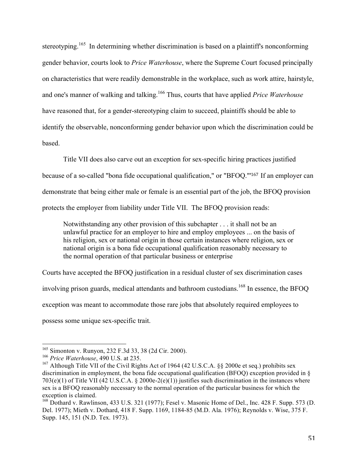stereotyping.<sup>165</sup> In determining whether discrimination is based on a plaintiff's nonconforming gender behavior, courts look to *Price Waterhouse*, where the Supreme Court focused principally on characteristics that were readily demonstrable in the workplace, such as work attire, hairstyle, and one's manner of walking and talking. 166 Thus, courts that have applied *Price Waterhouse* have reasoned that, for a gender-stereotyping claim to succeed, plaintiffs should be able to identify the observable, nonconforming gender behavior upon which the discrimination could be based.

Title VII does also carve out an exception for sex-specific hiring practices justified because of a so-called "bona fide occupational qualification," or "BFOQ."' <sup>167</sup> If an employer can demonstrate that being either male or female is an essential part of the job, the BFOQ provision protects the employer from liability under Title VII. The BFOQ provision reads:

Notwithstanding any other provision of this subchapter . . . it shall not be an unlawful practice for an employer to hire and employ employees ... on the basis of his religion, sex or national origin in those certain instances where religion, sex or national origin is a bona fide occupational qualification reasonably necessary to the normal operation of that particular business or enterprise

Courts have accepted the BFOQ justification in a residual cluster of sex discrimination cases involving prison guards, medical attendants and bathroom custodians.<sup>168</sup> In essence, the BFOQ exception was meant to accommodate those rare jobs that absolutely required employees to possess some unique sex-specific trait.

<sup>165</sup> Simonton v. Runyon, 232 F.3d 33, 38 (2d Cir. 2000).

<sup>166</sup> *Price Waterhouse*, 490 U.S. at 235.

<sup>&</sup>lt;sup>167</sup> Although Title VII of the Civil Rights Act of 1964 (42 U.S.C.A. §§ 2000e et seq.) prohibits sex discrimination in employment, the bona fide occupational qualification (BFOQ) exception provided in § 703(e)(1) of Title VII (42 U.S.C.A. § 2000e-2(e)(1)) justifies such discrimination in the instances where sex is a BFOQ reasonably necessary to the normal operation of the particular business for which the exception is claimed.

<sup>&</sup>lt;sup>168</sup> Dothard v. Rawlinson, 433 U.S. 321 (1977); Fesel v. Masonic Home of Del., Inc. 428 F. Supp. 573 (D. Del. 1977); Mieth v. Dothard, 418 F. Supp. 1169, 1184-85 (M.D. Ala. 1976); Reynolds v. Wise, 375 F. Supp. 145, 151 (N.D. Tex. 1973).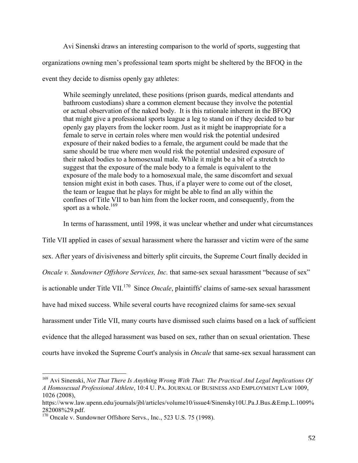Avi Sinenski draws an interesting comparison to the world of sports, suggesting that organizations owning men's professional team sports might be sheltered by the BFOQ in the event they decide to dismiss openly gay athletes:

While seemingly unrelated, these positions (prison guards, medical attendants and bathroom custodians) share a common element because they involve the potential or actual observation of the naked body. It is this rationale inherent in the BFOQ that might give a professional sports league a leg to stand on if they decided to bar openly gay players from the locker room. Just as it might be inappropriate for a female to serve in certain roles where men would risk the potential undesired exposure of their naked bodies to a female, the argument could be made that the same should be true where men would risk the potential undesired exposure of their naked bodies to a homosexual male. While it might be a bit of a stretch to suggest that the exposure of the male body to a female is equivalent to the exposure of the male body to a homosexual male, the same discomfort and sexual tension might exist in both cases. Thus, if a player were to come out of the closet, the team or league that he plays for might be able to find an ally within the confines of Title VII to ban him from the locker room, and consequently, from the sport as a whole.<sup>169</sup>

In terms of harassment, until 1998, it was unclear whether and under what circumstances

Title VII applied in cases of sexual harassment where the harasser and victim were of the same sex. After years of divisiveness and bitterly split circuits, the Supreme Court finally decided in *Oncale v. Sundowner Offshore Services, Inc.* that same-sex sexual harassment "because of sex" is actionable under Title VII. 170 Since *Oncale*, plaintiffs' claims of same-sex sexual harassment have had mixed success. While several courts have recognized claims for same-sex sexual harassment under Title VII, many courts have dismissed such claims based on a lack of sufficient evidence that the alleged harassment was based on sex, rather than on sexual orientation. These courts have invoked the Supreme Court's analysis in *Oncale* that same-sex sexual harassment can

<sup>169</sup> Avi Sinenski, *Not That There Is Anything Wrong With That: The Practical And Legal Implications Of A Homosexual Professional Athlete*, 10:4 U. PA. JOURNAL OF BUSINESS AND EMPLOYMENT LAW 1009, 1026 (2008),

https://www.law.upenn.edu/journals/jbl/articles/volume10/issue4/Sinensky10U.Pa.J.Bus.&Emp.L.1009%

 $28288882929$ .pdf. 170 Oncale v. Sundowner Offshore Servs., Inc., 523 U.S. 75 (1998).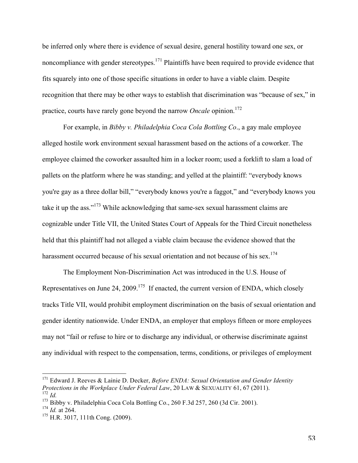be inferred only where there is evidence of sexual desire, general hostility toward one sex, or noncompliance with gender stereotypes.<sup>171</sup> Plaintiffs have been required to provide evidence that fits squarely into one of those specific situations in order to have a viable claim. Despite recognition that there may be other ways to establish that discrimination was "because of sex," in practice, courts have rarely gone beyond the narrow *Oncale* opinion. 172

For example, in *Bibby v. Philadelphia Coca Cola Bottling Co*., a gay male employee alleged hostile work environment sexual harassment based on the actions of a coworker. The employee claimed the coworker assaulted him in a locker room; used a forklift to slam a load of pallets on the platform where he was standing; and yelled at the plaintiff: "everybody knows you're gay as a three dollar bill," "everybody knows you're a faggot," and "everybody knows you take it up the ass."<sup>173</sup> While acknowledging that same-sex sexual harassment claims are cognizable under Title VII, the United States Court of Appeals for the Third Circuit nonetheless held that this plaintiff had not alleged a viable claim because the evidence showed that the harassment occurred because of his sexual orientation and not because of his sex.<sup>174</sup>

The Employment Non-Discrimination Act was introduced in the U.S. House of Representatives on June 24, 2009.<sup>175</sup> If enacted, the current version of ENDA, which closely tracks Title VII, would prohibit employment discrimination on the basis of sexual orientation and gender identity nationwide. Under ENDA, an employer that employs fifteen or more employees may not "fail or refuse to hire or to discharge any individual, or otherwise discriminate against any individual with respect to the compensation, terms, conditions, or privileges of employment

<sup>171</sup> Edward J. Reeves & Lainie D. Decker, *Before ENDA: Sexual Orientation and Gender Identity Protections in the Workplace Under Federal Law*, 20 LAW & SEXUALITY 61, 67 (2011). <sup>172</sup> *Id.*

<sup>173</sup> Bibby v. Philadelphia Coca Cola Bottling Co., 260 F.3d 257, 260 (3d Cir. 2001).

<sup>174</sup> *Id.* at 264.

 $175$  H.R. 3017, 111th Cong. (2009).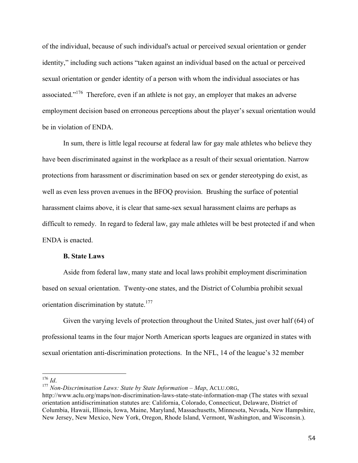of the individual, because of such individual's actual or perceived sexual orientation or gender identity," including such actions "taken against an individual based on the actual or perceived sexual orientation or gender identity of a person with whom the individual associates or has associated."<sup>176</sup> Therefore, even if an athlete is not gay, an employer that makes an adverse employment decision based on erroneous perceptions about the player's sexual orientation would be in violation of ENDA.

In sum, there is little legal recourse at federal law for gay male athletes who believe they have been discriminated against in the workplace as a result of their sexual orientation. Narrow protections from harassment or discrimination based on sex or gender stereotyping do exist, as well as even less proven avenues in the BFOQ provision. Brushing the surface of potential harassment claims above, it is clear that same-sex sexual harassment claims are perhaps as difficult to remedy. In regard to federal law, gay male athletes will be best protected if and when ENDA is enacted.

#### **B. State Laws**

!!!!!!!!!!!!!!!!!!!!!!!!!!!!!!!!!!!!!!!!!!!!!!!!!!!!!!!

Aside from federal law, many state and local laws prohibit employment discrimination based on sexual orientation. Twenty-one states, and the District of Columbia prohibit sexual orientation discrimination by statute.<sup>177</sup>

Given the varying levels of protection throughout the United States, just over half (64) of professional teams in the four major North American sports leagues are organized in states with sexual orientation anti-discrimination protections. In the NFL, 14 of the league's 32 member

<sup>176</sup> *Id*. <sup>177</sup> *Non-Discrimination Laws: State by State Information – Map*, ACLU.ORG,

http://www.aclu.org/maps/non-discrimination-laws-state-state-information-map (The states with sexual orientation antidiscrimination statutes are: California, Colorado, Connecticut, Delaware, District of Columbia, Hawaii, Illinois, Iowa, Maine, Maryland, Massachusetts, Minnesota, Nevada, New Hampshire, New Jersey, New Mexico, New York, Oregon, Rhode Island, Vermont, Washington, and Wisconsin.).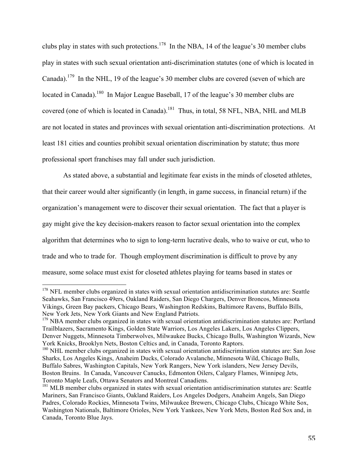clubs play in states with such protections.<sup>178</sup> In the NBA, 14 of the league's 30 member clubs play in states with such sexual orientation anti-discrimination statutes (one of which is located in Canada).<sup>179</sup> In the NHL, 19 of the league's 30 member clubs are covered (seven of which are located in Canada).<sup>180</sup> In Major League Baseball, 17 of the league's 30 member clubs are covered (one of which is located in Canada).<sup>181</sup> Thus, in total, 58 NFL, NBA, NHL and MLB are not located in states and provinces with sexual orientation anti-discrimination protections. At least 181 cities and counties prohibit sexual orientation discrimination by statute; thus more professional sport franchises may fall under such jurisdiction.

As stated above, a substantial and legitimate fear exists in the minds of closeted athletes, that their career would alter significantly (in length, in game success, in financial return) if the organization's management were to discover their sexual orientation. The fact that a player is gay might give the key decision-makers reason to factor sexual orientation into the complex algorithm that determines who to sign to long-term lucrative deals, who to waive or cut, who to trade and who to trade for. Though employment discrimination is difficult to prove by any measure, some solace must exist for closeted athletes playing for teams based in states or

<sup>&</sup>lt;sup>178</sup> NFL member clubs organized in states with sexual orientation antidiscrimination statutes are: Seattle Seahawks, San Francisco 49ers, Oakland Raiders, San Diego Chargers, Denver Broncos, Minnesota Vikings, Green Bay packers, Chicago Bears, Washington Redskins, Baltimore Ravens, Buffalo Bills, New York Jets, New York Giants and New England Patriots.

 $179$  NBA member clubs organized in states with sexual orientation antidiscrimination statutes are: Portland Trailblazers, Sacramento Kings, Golden State Warriors, Los Angeles Lakers, Los Angeles Clippers, Denver Nuggets, Minnesota Timberwolves, Milwaukee Bucks, Chicago Bulls, Washington Wizards, New York Knicks, Brooklyn Nets, Boston Celtics and, in Canada, Toronto Raptors.

<sup>&</sup>lt;sup>180</sup> NHL member clubs organized in states with sexual orientation antidiscrimination statutes are: San Jose Sharks, Los Angeles Kings, Anaheim Ducks, Colorado Avalanche, Minnesota Wild, Chicago Bulls, Buffalo Sabres, Washington Capitals, New York Rangers, New York islanders, New Jersey Devils, Boston Bruins. In Canada, Vancouver Canucks, Edmonton Oilers, Calgary Flames, Winnipeg Jets, Toronto Maple Leafs, Ottawa Senators and Montreal Canadiens.

<sup>&</sup>lt;sup>181</sup> MLB member clubs organized in states with sexual orientation antidiscrimination statutes are: Seattle Mariners, San Francisco Giants, Oakland Raiders, Los Angeles Dodgers, Anaheim Angels, San Diego Padres, Colorado Rockies, Minnesota Twins, Milwaukee Brewers, Chicago Clubs, Chicago White Sox, Washington Nationals, Baltimore Orioles, New York Yankees, New York Mets, Boston Red Sox and, in Canada, Toronto Blue Jays.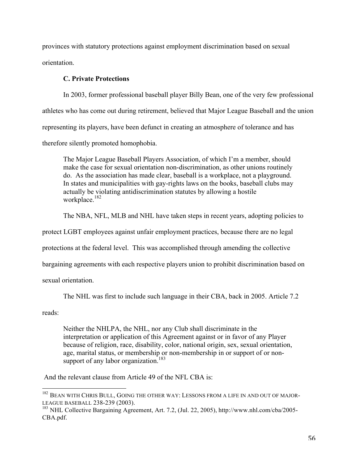provinces with statutory protections against employment discrimination based on sexual orientation.

# **C. Private Protections**

In 2003, former professional baseball player Billy Bean, one of the very few professional athletes who has come out during retirement, believed that Major League Baseball and the union representing its players, have been defunct in creating an atmosphere of tolerance and has therefore silently promoted homophobia.

The Major League Baseball Players Association, of which I'm a member, should make the case for sexual orientation non-discrimination, as other unions routinely do. As the association has made clear, baseball is a workplace, not a playground. In states and municipalities with gay-rights laws on the books, baseball clubs may actually be violating antidiscrimination statutes by allowing a hostile workplace. 182

The NBA, NFL, MLB and NHL have taken steps in recent years, adopting policies to

protect LGBT employees against unfair employment practices, because there are no legal

protections at the federal level. This was accomplished through amending the collective

bargaining agreements with each respective players union to prohibit discrimination based on

sexual orientation.

The NHL was first to include such language in their CBA, back in 2005. Article 7.2

reads:

Neither the NHLPA, the NHL, nor any Club shall discriminate in the interpretation or application of this Agreement against or in favor of any Player because of religion, race, disability, color, national origin, sex, sexual orientation, age, marital status, or membership or non-membership in or support of or nonsupport of any labor organization.<sup>183</sup>

And the relevant clause from Article 49 of the NFL CBA is:

<sup>&</sup>lt;sup>182</sup> BEAN WITH CHRIS BULL, GOING THE OTHER WAY: LESSONS FROM A LIFE IN AND OUT OF MAJOR-LEAGUE BASEBALL 238-239 (2003).

<sup>&</sup>lt;sup>183</sup> NHL Collective Bargaining Agreement, Art. 7.2, (Jul. 22, 2005), http://www.nhl.com/cba/2005-CBA.pdf.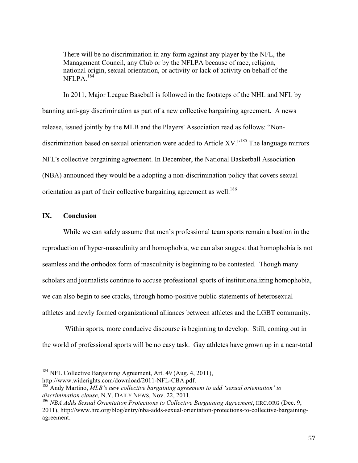There will be no discrimination in any form against any player by the NFL, the Management Council, any Club or by the NFLPA because of race, religion, national origin, sexual orientation, or activity or lack of activity on behalf of the NFLPA. 184

In 2011, Major League Baseball is followed in the footsteps of the NHL and NFL by banning anti-gay discrimination as part of a new collective bargaining agreement. A news release, issued jointly by the MLB and the Players' Association read as follows: "Nondiscrimination based on sexual orientation were added to Article XV. $^{185}$  The language mirrors NFL's collective bargaining agreement. In December, the National Basketball Association (NBA) announced they would be a adopting a non-discrimination policy that covers sexual orientation as part of their collective bargaining agreement as well.<sup>186</sup>

# **IX. Conclusion**

While we can safely assume that men's professional team sports remain a bastion in the reproduction of hyper-masculinity and homophobia, we can also suggest that homophobia is not seamless and the orthodox form of masculinity is beginning to be contested. Though many scholars and journalists continue to accuse professional sports of institutionalizing homophobia, we can also begin to see cracks, through homo-positive public statements of heterosexual athletes and newly formed organizational alliances between athletes and the LGBT community.

Within sports, more conducive discourse is beginning to develop. Still, coming out in the world of professional sports will be no easy task. Gay athletes have grown up in a near-total

 $184$  NFL Collective Bargaining Agreement, Art. 49 (Aug. 4, 2011),

http://www.widerights.com/download/2011-NFL-CBA.pdf.<br><sup>185</sup> Andy Martino, *MLB's new collective bargaining agreement to add 'sexual orientation' to* 

*discrimination clause*, N.Y. DAILY NEWS, Nov. 22, 2011.

<sup>186</sup> *NBA Adds Sexual Orientation Protections to Collective Bargaining Agreement*, HRC.ORG (Dec. 9, 2011), http://www.hrc.org/blog/entry/nba-adds-sexual-orientation-protections-to-collective-bargainingagreement.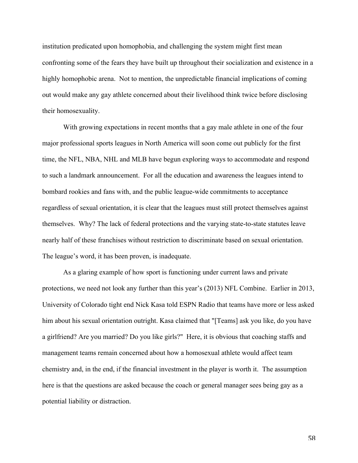institution predicated upon homophobia, and challenging the system might first mean confronting some of the fears they have built up throughout their socialization and existence in a highly homophobic arena. Not to mention, the unpredictable financial implications of coming out would make any gay athlete concerned about their livelihood think twice before disclosing their homosexuality.

With growing expectations in recent months that a gay male athlete in one of the four major professional sports leagues in North America will soon come out publicly for the first time, the NFL, NBA, NHL and MLB have begun exploring ways to accommodate and respond to such a landmark announcement. For all the education and awareness the leagues intend to bombard rookies and fans with, and the public league-wide commitments to acceptance regardless of sexual orientation, it is clear that the leagues must still protect themselves against themselves. Why? The lack of federal protections and the varying state-to-state statutes leave nearly half of these franchises without restriction to discriminate based on sexual orientation. The league's word, it has been proven, is inadequate.

As a glaring example of how sport is functioning under current laws and private protections, we need not look any further than this year's (2013) NFL Combine. Earlier in 2013, University of Colorado tight end Nick Kasa told ESPN Radio that teams have more or less asked him about his sexual orientation outright. Kasa claimed that "[Teams] ask you like, do you have a girlfriend? Are you married? Do you like girls?" Here, it is obvious that coaching staffs and management teams remain concerned about how a homosexual athlete would affect team chemistry and, in the end, if the financial investment in the player is worth it. The assumption here is that the questions are asked because the coach or general manager sees being gay as a potential liability or distraction.

58